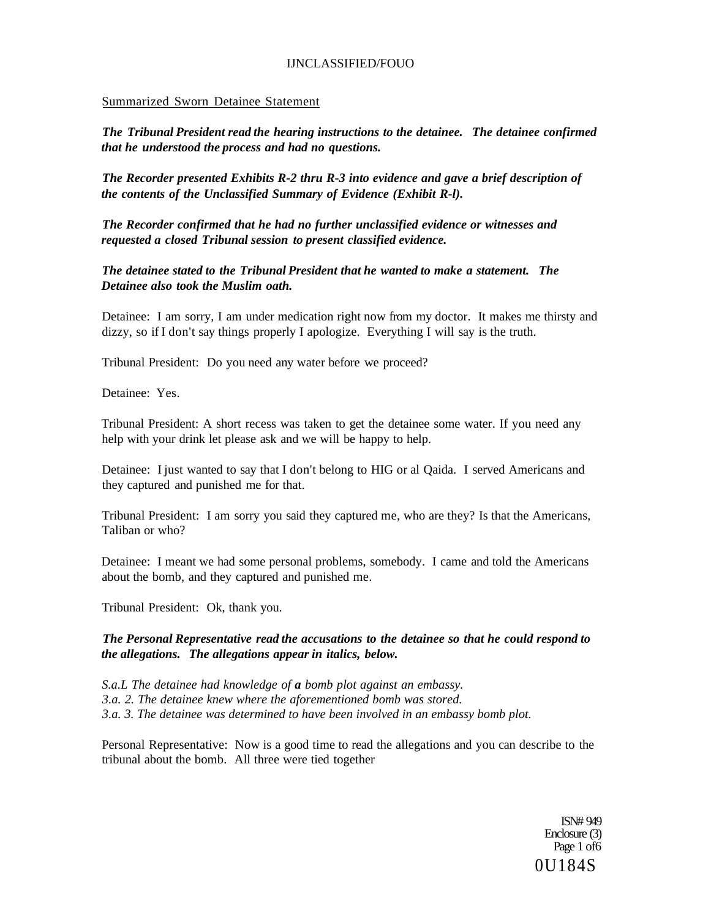## Summarized Sworn Detainee Statement

*The Tribunal President read the hearing instructions to the detainee. The detainee confirmed that he understood the process and had no questions.* 

*The Recorder presented Exhibits R-2 thru R-3 into evidence and gave a brief description of the contents of the Unclassified Summary of Evidence (Exhibit R-l).* 

*The Recorder confirmed that he had no further unclassified evidence or witnesses and requested a closed Tribunal session to present classified evidence.* 

*The detainee stated to the Tribunal President that he wanted to make a statement. The Detainee also took the Muslim oath.* 

Detainee: I am sorry, I am under medication right now from my doctor. It makes me thirsty and dizzy, so if I don't say things properly I apologize. Everything I will say is the truth.

Tribunal President: Do you need any water before we proceed?

Detainee: Yes.

Tribunal President: A short recess was taken to get the detainee some water. If you need any help with your drink let please ask and we will be happy to help.

Detainee: I just wanted to say that I don't belong to HIG or al Qaida. I served Americans and they captured and punished me for that.

Tribunal President: I am sorry you said they captured me, who are they? Is that the Americans, Taliban or who?

Detainee: I meant we had some personal problems, somebody. I came and told the Americans about the bomb, and they captured and punished me.

Tribunal President: Ok, thank you.

*The Personal Representative read the accusations to the detainee so that he could respond to the allegations. The allegations appear in italics, below.* 

*S.a.L The detainee had knowledge of a bomb plot against an embassy. 3.a. 2. The detainee knew where the aforementioned bomb was stored. 3.a. 3. The detainee was determined to have been involved in an embassy bomb plot.* 

Personal Representative: Now is a good time to read the allegations and you can describe to the tribunal about the bomb. All three were tied together

> ISN# 949 Enclosure (3) Page 1 of 6 0U184S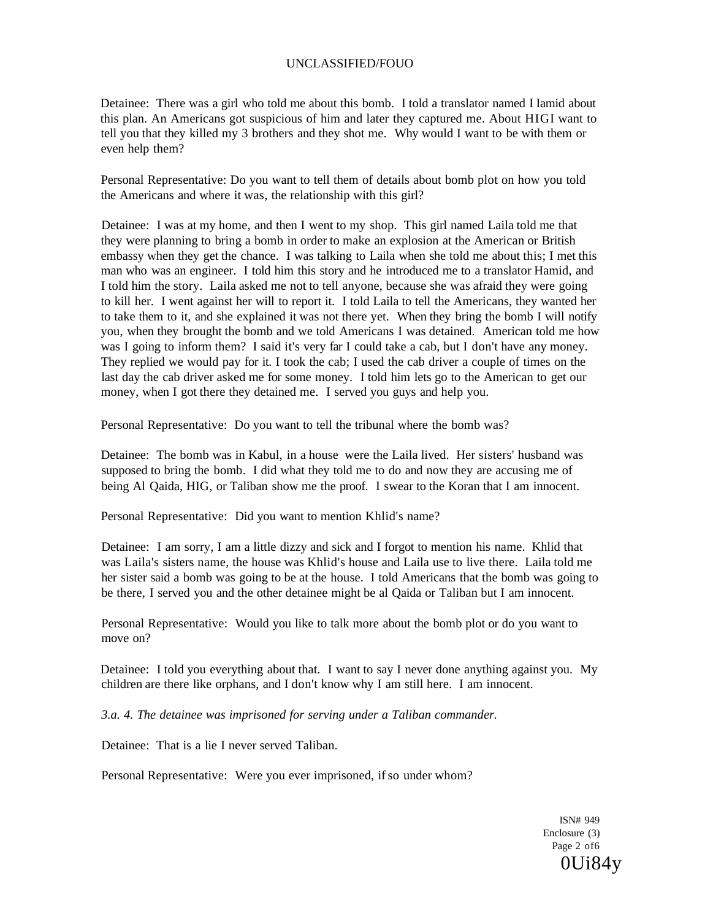Detainee: There was a girl who told me about this bomb. I told a translator named I Iamid about this plan. An Americans got suspicious of him and later they captured me. About HIGI want to tell you that they killed my 3 brothers and they shot me. Why would I want to be with them or even help them?

Personal Representative: Do you want to tell them of details about bomb plot on how you told the Americans and where it was, the relationship with this girl?

Detainee: I was at my home, and then I went to my shop. This girl named Laila told me that they were planning to bring a bomb in order to make an explosion at the American or British embassy when they get the chance. I was talking to Laila when she told me about this; I met this man who was an engineer. I told him this story and he introduced me to a translator Hamid, and I told him the story. Laila asked me not to tell anyone, because she was afraid they were going to kill her. I went against her will to report it. I told Laila to tell the Americans, they wanted her to take them to it, and she explained it was not there yet. When they bring the bomb I will notify you, when they brought the bomb and we told Americans I was detained. American told me how was I going to inform them? I said it's very far I could take a cab, but I don't have any money. They replied we would pay for it. I took the cab; I used the cab driver a couple of times on the last day the cab driver asked me for some money. I told him lets go to the American to get our money, when I got there they detained me. I served you guys and help you.

Personal Representative: Do you want to tell the tribunal where the bomb was?

Detainee: The bomb was in Kabul, in a house were the Laila lived. Her sisters' husband was supposed to bring the bomb. I did what they told me to do and now they are accusing me of being Al Qaida, HIG, or Taliban show me the proof. I swear to the Koran that I am innocent.

Personal Representative: Did you want to mention Khlid's name?

Detainee: I am sorry, I am a little dizzy and sick and I forgot to mention his name. Khlid that was Laila's sisters name, the house was Khlid's house and Laila use to live there. Laila told me her sister said a bomb was going to be at the house. I told Americans that the bomb was going to be there, I served you and the other detainee might be al Qaida or Taliban but I am innocent.

Personal Representative: Would you like to talk more about the bomb plot or do you want to move on?

Detainee: I told you everything about that. I want to say I never done anything against you. My children are there like orphans, and I don't know why I am still here. I am innocent.

*3.a. 4. The detainee was imprisoned for serving under a Taliban commander.* 

Detainee: That is a lie I never served Taliban.

Personal Representative: Were you ever imprisoned, if so under whom?

ISN# 949 Enclosure (3) Page 2 of6 0Ui84y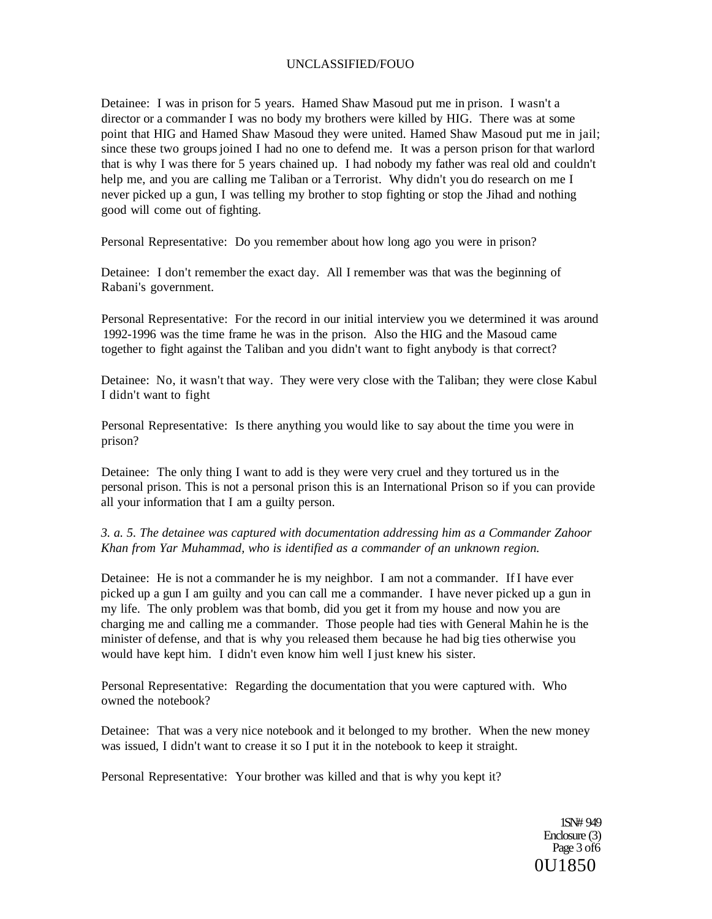Detainee: I was in prison for 5 years. Hamed Shaw Masoud put me in prison. I wasn't a director or a commander I was no body my brothers were killed by HIG. There was at some point that HIG and Hamed Shaw Masoud they were united. Hamed Shaw Masoud put me in jail; since these two groups joined I had no one to defend me. It was a person prison for that warlord that is why I was there for 5 years chained up. I had nobody my father was real old and couldn't help me, and you are calling me Taliban or a Terrorist. Why didn't you do research on me I never picked up a gun, I was telling my brother to stop fighting or stop the Jihad and nothing good will come out of fighting.

Personal Representative: Do you remember about how long ago you were in prison?

Detainee: I don't remember the exact day. All I remember was that was the beginning of Rabani's government.

Personal Representative: For the record in our initial interview you we determined it was around 1992-1996 was the time frame he was in the prison. Also the HIG and the Masoud came together to fight against the Taliban and you didn't want to fight anybody is that correct?

Detainee: No, it wasn't that way. They were very close with the Taliban; they were close Kabul I didn't want to fight

Personal Representative: Is there anything you would like to say about the time you were in prison?

Detainee: The only thing I want to add is they were very cruel and they tortured us in the personal prison. This is not a personal prison this is an International Prison so if you can provide all your information that I am a guilty person.

*3. a. 5. The detainee was captured with documentation addressing him as a Commander Zahoor Khan from Yar Muhammad, who is identified as a commander of an unknown region.* 

Detainee: He is not a commander he is my neighbor. I am not a commander. If I have ever picked up a gun I am guilty and you can call me a commander. I have never picked up a gun in my life. The only problem was that bomb, did you get it from my house and now you are charging me and calling me a commander. Those people had ties with General Mahin he is the minister of defense, and that is why you released them because he had big ties otherwise you would have kept him. I didn't even know him well I just knew his sister.

Personal Representative: Regarding the documentation that you were captured with. Who owned the notebook?

Detainee: That was a very nice notebook and it belonged to my brother. When the new money was issued, I didn't want to crease it so I put it in the notebook to keep it straight.

Personal Representative: Your brother was killed and that is why you kept it?

1SN# 949 Enclosure (3) Page 3 of 6 0U1850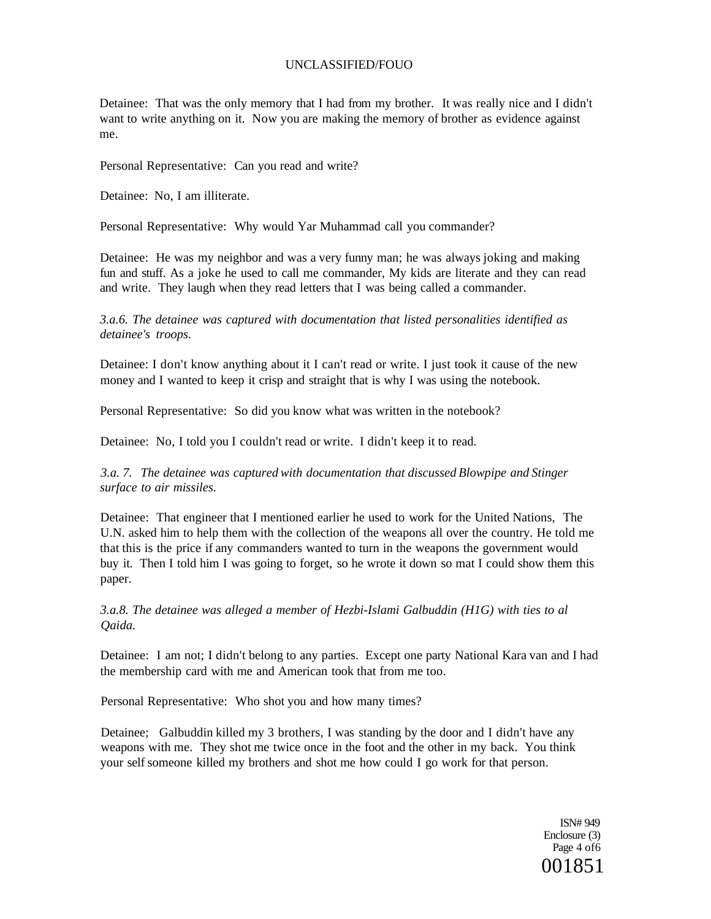Detainee: That was the only memory that I had from my brother. It was really nice and I didn't want to write anything on it. Now you are making the memory of brother as evidence against me.

Personal Representative: Can you read and write?

Detainee: No, I am illiterate.

Personal Representative: Why would Yar Muhammad call you commander?

Detainee: He was my neighbor and was a very funny man; he was always joking and making fun and stuff. As a joke he used to call me commander, My kids are literate and they can read and write. They laugh when they read letters that I was being called a commander.

*3.a.6. The detainee was captured with documentation that listed personalities identified as detainee's troops.* 

Detainee: I don't know anything about it I can't read or write. I just took it cause of the new money and I wanted to keep it crisp and straight that is why I was using the notebook.

Personal Representative: So did you know what was written in the notebook?

Detainee: No, I told you I couldn't read or write. I didn't keep it to read.

*3.a. 7. The detainee was captured with documentation that discussed Blowpipe and Stinger surface to air missiles.* 

Detainee: That engineer that I mentioned earlier he used to work for the United Nations, The U.N. asked him to help them with the collection of the weapons all over the country. He told me that this is the price if any commanders wanted to turn in the weapons the government would buy it. Then I told him I was going to forget, so he wrote it down so mat I could show them this paper.

*3.a.8. The detainee was alleged a member of Hezbi-Islami Galbuddin (H1G) with ties to al Qaida.* 

Detainee: I am not; I didn't belong to any parties. Except one party National Kara van and I had the membership card with me and American took that from me too.

Personal Representative: Who shot you and how many times?

Detainee; Galbuddin killed my 3 brothers, I was standing by the door and I didn't have any weapons with me. They shot me twice once in the foot and the other in my back. You think your self someone killed my brothers and shot me how could I go work for that person.

> ISN# 949 Enclosure (3) Page 4 of6 001851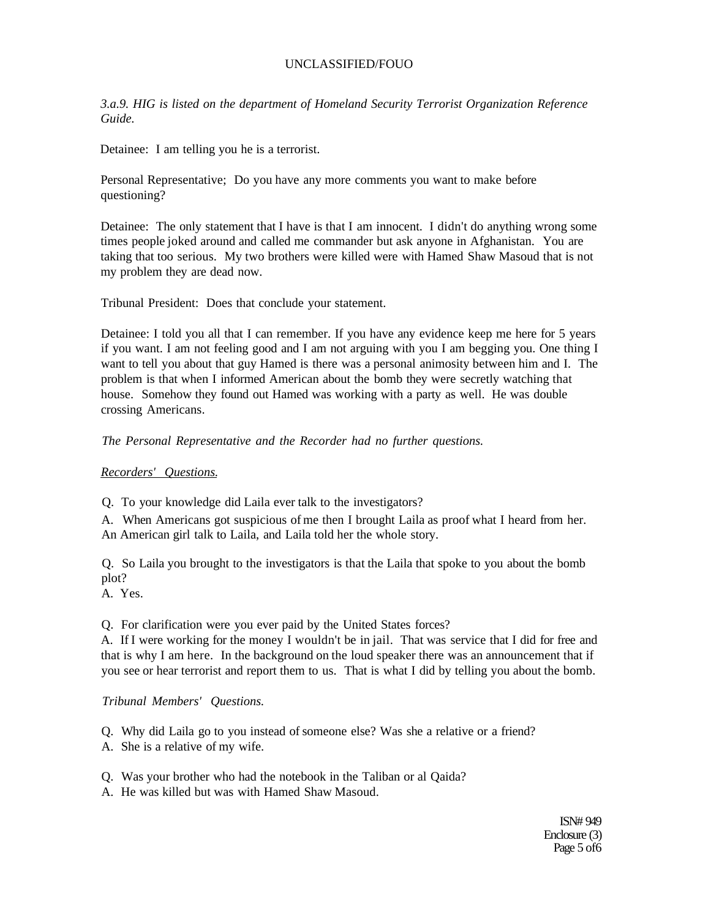*3.a.9. HIG is listed on the department of Homeland Security Terrorist Organization Reference Guide.* 

Detainee: I am telling you he is a terrorist.

Personal Representative; Do you have any more comments you want to make before questioning?

Detainee: The only statement that I have is that I am innocent. I didn't do anything wrong some times people joked around and called me commander but ask anyone in Afghanistan. You are taking that too serious. My two brothers were killed were with Hamed Shaw Masoud that is not my problem they are dead now.

Tribunal President: Does that conclude your statement.

Detainee: I told you all that I can remember. If you have any evidence keep me here for 5 years if you want. I am not feeling good and I am not arguing with you I am begging you. One thing I want to tell you about that guy Hamed is there was a personal animosity between him and I. The problem is that when I informed American about the bomb they were secretly watching that house. Somehow they found out Hamed was working with a party as well. He was double crossing Americans.

*The Personal Representative and the Recorder had no further questions.* 

*Recorders' Questions.* 

Q. To your knowledge did Laila ever talk to the investigators?

A. When Americans got suspicious of me then I brought Laila as proof what I heard from her. An American girl talk to Laila, and Laila told her the whole story.

Q. So Laila you brought to the investigators is that the Laila that spoke to you about the bomb plot?

A. Yes.

Q. For clarification were you ever paid by the United States forces?

A. If I were working for the money I wouldn't be in jail. That was service that I did for free and that is why I am here. In the background on the loud speaker there was an announcement that if you see or hear terrorist and report them to us. That is what I did by telling you about the bomb.

## *Tribunal Members' Questions.*

Q. Why did Laila go to you instead of someone else? Was she a relative or a friend?

A. She is a relative of my wife.

Q. Was your brother who had the notebook in the Taliban or al Qaida?

A. He was killed but was with Hamed Shaw Masoud.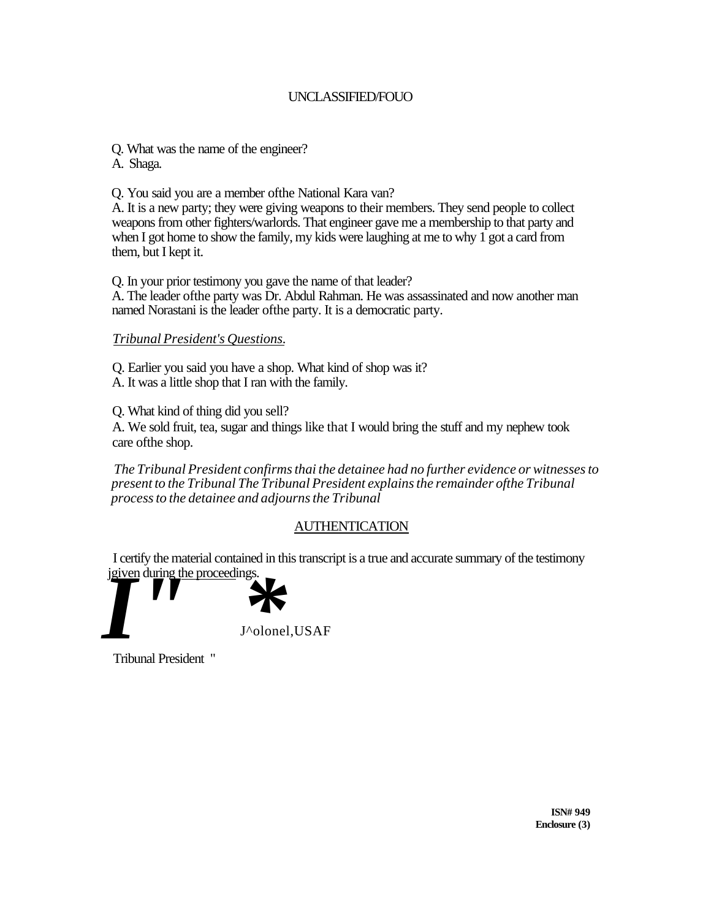- Q. What was the name of the engineer?
- A. Shaga.

Q. You said you are a member ofthe National Kara van?

A. It is a new party; they were giving weapons to their members. They send people to collect weapons from other fighters/warlords. That engineer gave me a membership to that party and when I got home to show the family, my kids were laughing at me to why 1 got a card from them, but I kept it.

Q. In your prior testimony you gave the name of that leader? A. The leader ofthe party was Dr. Abdul Rahman. He was assassinated and now another man named Norastani is the leader ofthe party. It is a democratic party.

# *Tribunal President's Questions.*

Q. Earlier you said you have a shop. What kind of shop was it? A. It was a little shop that I ran with the family.

Q. What kind of thing did you sell?

A. We sold fruit, tea, sugar and things like that I would bring the stuff and my nephew took care ofthe shop.

*The Tribunal President confirms thai the detainee had no further evidence or witnesses to present to the Tribunal The Tribunal President explains the remainder ofthe Tribunal process to the detainee and adjourns the Tribunal* 

# AUTHENTICATION

I certify the material contained in this transcript is a true and accurate summary of the testimony



Tribunal President "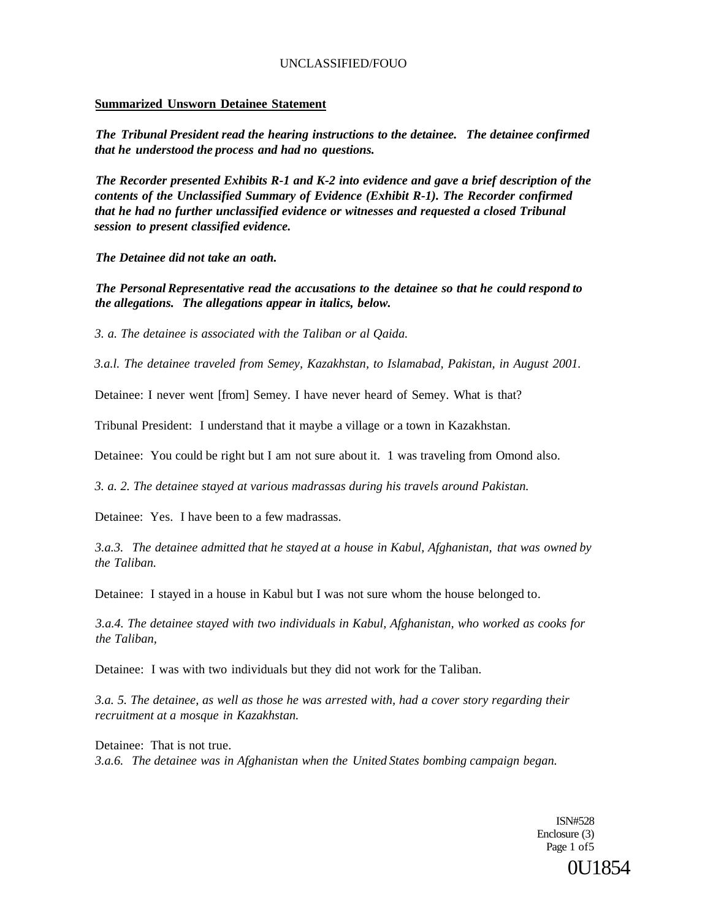#### **Summarized Unsworn Detainee Statement**

*The Tribunal President read the hearing instructions to the detainee. The detainee confirmed that he understood the process and had no questions.* 

*The Recorder presented Exhibits R-1 and K-2 into evidence and gave a brief description of the contents of the Unclassified Summary of Evidence (Exhibit R-1). The Recorder confirmed that he had no further unclassified evidence or witnesses and requested a closed Tribunal session to present classified evidence.* 

*The Detainee did not take an oath.* 

*The Personal Representative read the accusations to the detainee so that he could respond to the allegations. The allegations appear in italics, below.* 

*3. a. The detainee is associated with the Taliban or al Qaida.* 

*3.a.l. The detainee traveled from Semey, Kazakhstan, to Islamabad, Pakistan, in August 2001.* 

Detainee: I never went [from] Semey. I have never heard of Semey. What is that?

Tribunal President: I understand that it maybe a village or a town in Kazakhstan.

Detainee: You could be right but I am not sure about it. 1 was traveling from Omond also.

*3. a. 2. The detainee stayed at various madrassas during his travels around Pakistan.* 

Detainee: Yes. I have been to a few madrassas.

*3.a.3. The detainee admitted that he stayed at a house in Kabul, Afghanistan, that was owned by the Taliban.* 

Detainee: I stayed in a house in Kabul but I was not sure whom the house belonged to.

*3.a.4. The detainee stayed with two individuals in Kabul, Afghanistan, who worked as cooks for the Taliban,* 

Detainee: I was with two individuals but they did not work for the Taliban.

*3.a. 5. The detainee, as well as those he was arrested with, had a cover story regarding their recruitment at a mosque in Kazakhstan.* 

Detainee: That is not true. *3.a.6. The detainee was in Afghanistan when the United States bombing campaign began.* 

> ISN#528 Enclosure (3) Page 1 of 5 0U1854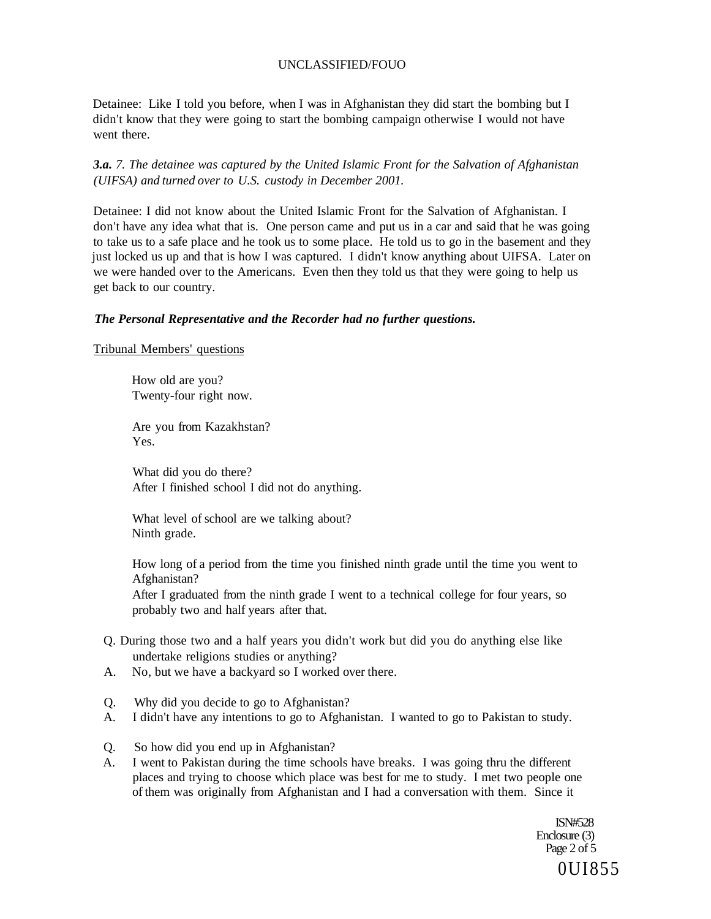Detainee: Like I told you before, when I was in Afghanistan they did start the bombing but I didn't know that they were going to start the bombing campaign otherwise I would not have went there.

*3.a. 7. The detainee was captured by the United Islamic Front for the Salvation of Afghanistan (UIFSA) and turned over to U.S. custody in December 2001.* 

Detainee: I did not know about the United Islamic Front for the Salvation of Afghanistan. I don't have any idea what that is. One person came and put us in a car and said that he was going to take us to a safe place and he took us to some place. He told us to go in the basement and they just locked us up and that is how I was captured. I didn't know anything about UIFSA. Later on we were handed over to the Americans. Even then they told us that they were going to help us get back to our country.

#### *The Personal Representative and the Recorder had no further questions.*

Tribunal Members' questions

How old are you? Twenty-four right now.

Are you from Kazakhstan? Yes.

What did you do there? After I finished school I did not do anything.

What level of school are we talking about? Ninth grade.

How long of a period from the time you finished ninth grade until the time you went to Afghanistan?

After I graduated from the ninth grade I went to a technical college for four years, so probably two and half years after that.

- Q. During those two and a half years you didn't work but did you do anything else like undertake religions studies or anything?
- A. No, but we have a backyard so I worked over there.
- Q. Why did you decide to go to Afghanistan?
- A. I didn't have any intentions to go to Afghanistan. I wanted to go to Pakistan to study.
- Q. So how did you end up in Afghanistan?
- A. I went to Pakistan during the time schools have breaks. I was going thru the different places and trying to choose which place was best for me to study. I met two people one of them was originally from Afghanistan and I had a conversation with them. Since it

ISN#528 Enclosure (3) Page 2 of 5 0UI855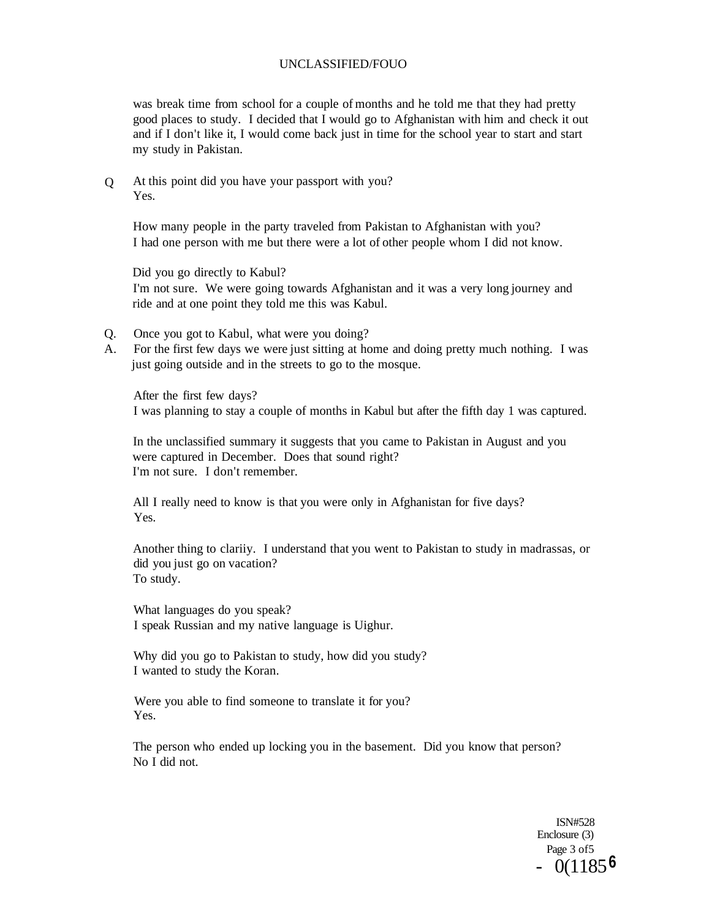was break time from school for a couple of months and he told me that they had pretty good places to study. I decided that I would go to Afghanistan with him and check it out and if I don't like it, I would come back just in time for the school year to start and start my study in Pakistan.

 $\overline{O}$ At this point did you have your passport with you? Yes.

How many people in the party traveled from Pakistan to Afghanistan with you? I had one person with me but there were a lot of other people whom I did not know.

Did you go directly to Kabul? I'm not sure. We were going towards Afghanistan and it was a very long journey and ride and at one point they told me this was Kabul.

- Q. Once you got to Kabul, what were you doing?
- A. For the first few days we were just sitting at home and doing pretty much nothing. I was just going outside and in the streets to go to the mosque.

After the first few days? I was planning to stay a couple of months in Kabul but after the fifth day 1 was captured.

In the unclassified summary it suggests that you came to Pakistan in August and you were captured in December. Does that sound right? I'm not sure. I don't remember.

All I really need to know is that you were only in Afghanistan for five days? Yes.

Another thing to clariiy. I understand that you went to Pakistan to study in madrassas, or did you just go on vacation? To study.

What languages do you speak? I speak Russian and my native language is Uighur.

Why did you go to Pakistan to study, how did you study? I wanted to study the Koran.

Were you able to find someone to translate it for you? Yes.

The person who ended up locking you in the basement. Did you know that person? No I did not.

> ISN#528 Enclosure (3) Page 3 of5 - 0(1185 **6**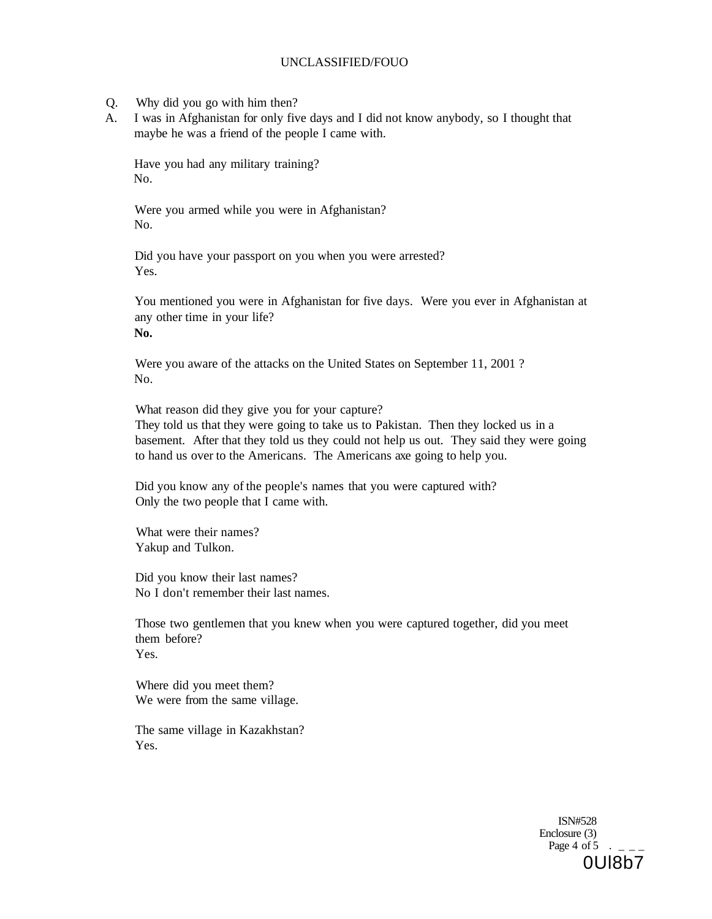- Q. Why did you go with him then?
- A. I was in Afghanistan for only five days and I did not know anybody, so I thought that maybe he was a friend of the people I came with.

Have you had any military training? No.

Were you armed while you were in Afghanistan? No.

Did you have your passport on you when you were arrested? Yes.

You mentioned you were in Afghanistan for five days. Were you ever in Afghanistan at any other time in your life? **No.** 

Were you aware of the attacks on the United States on September 11, 2001 ? No.

What reason did they give you for your capture? They told us that they were going to take us to Pakistan. Then they locked us in a basement. After that they told us they could not help us out. They said they were going to hand us over to the Americans. The Americans axe going to help you.

Did you know any of the people's names that you were captured with? Only the two people that I came with.

What were their names? Yakup and Tulkon.

Did you know their last names? No I don't remember their last names.

Those two gentlemen that you knew when you were captured together, did you meet them before? Yes.

Where did you meet them? We were from the same village.

The same village in Kazakhstan? Yes.

> ISN#528 Enclosure (3) Page  $4 \text{ of } 5$ 0Ul8b7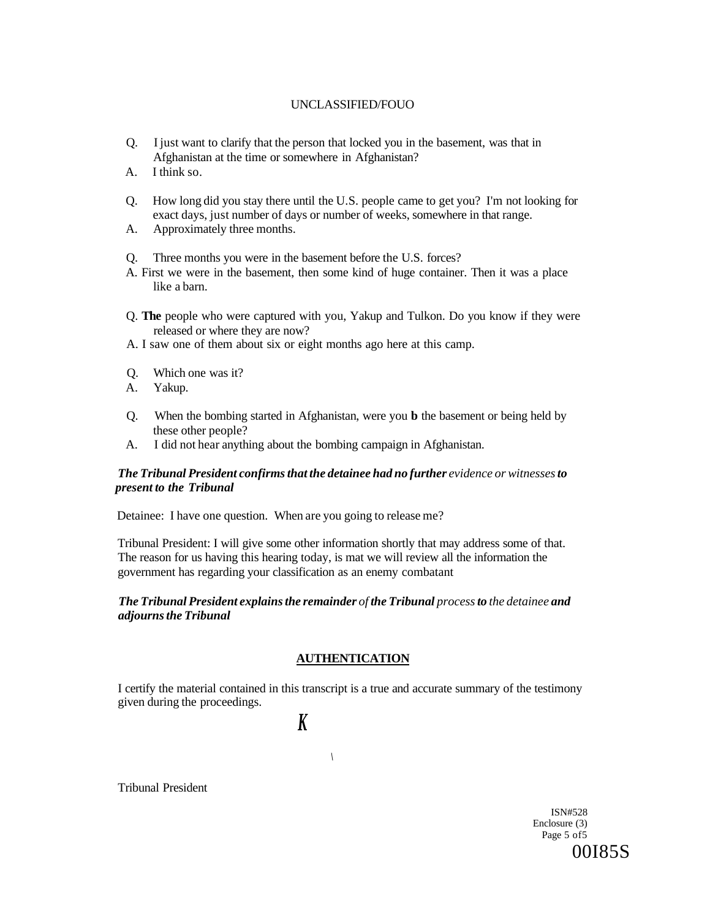- Q. I just want to clarify that the person that locked you in the basement, was that in Afghanistan at the time or somewhere in Afghanistan?
- A. I think so.
- Q. How long did you stay there until the U.S. people came to get you? I'm not looking for exact days, just number of days or number of weeks, somewhere in that range.
- A. Approximately three months.

Q. Three months you were in the basement before the U.S. forces?

- A. First we were in the basement, then some kind of huge container. Then it was a place like a barn.
- Q. **The** people who were captured with you, Yakup and Tulkon. Do you know if they were released or where they are now?
- A. I saw one of them about six or eight months ago here at this camp.
- Q. Which one was it?
- A. Yakup.
- Q. When the bombing started in Afghanistan, were you **b** the basement or being held by these other people?
- A. I did not hear anything about the bombing campaign in Afghanistan.

#### *The Tribunal President confirms that the detainee had no further evidence or witnesses to present to the Tribunal*

Detainee: I have one question. When are you going to release me?

Tribunal President: I will give some other information shortly that may address some of that. The reason for us having this hearing today, is mat we will review all the information the government has regarding your classification as an enemy combatant

## *The Tribunal President explains the remainder of the Tribunal process to the detainee and adjourns the Tribunal*

#### **AUTHENTICATION**

I certify the material contained in this transcript is a true and accurate summary of the testimony given during the proceedings.

*\* 

# *K*

Tribunal President

ISN#528 Enclosure (3) Page 5 of5 00I85S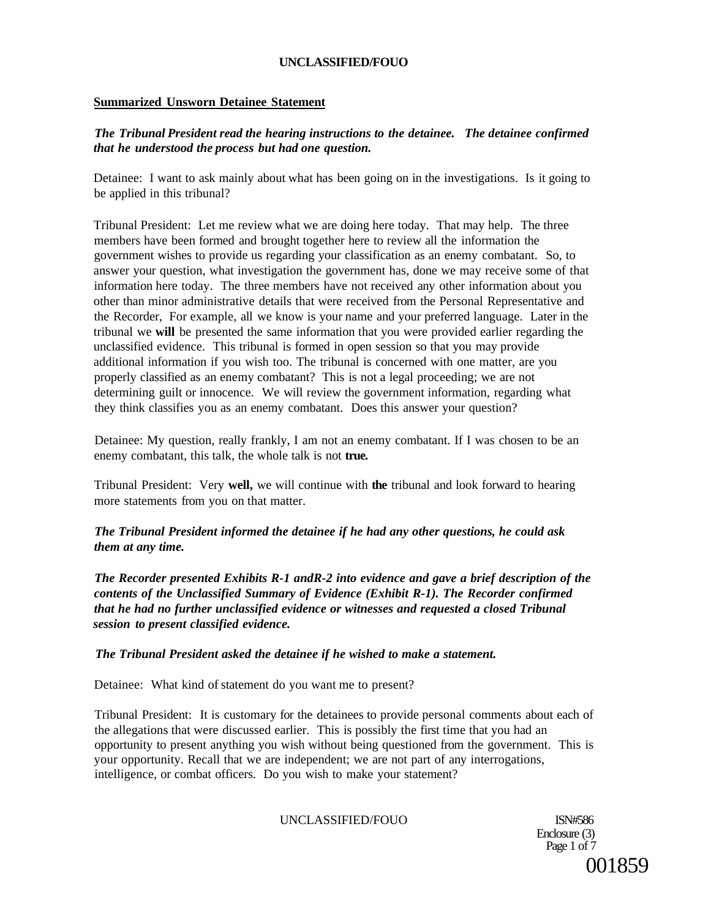# **Summarized Unsworn Detainee Statement**

# *The Tribunal President read the hearing instructions to the detainee. The detainee confirmed that he understood the process but had one question.*

Detainee: I want to ask mainly about what has been going on in the investigations. Is it going to be applied in this tribunal?

Tribunal President: Let me review what we are doing here today. That may help. The three members have been formed and brought together here to review all the information the government wishes to provide us regarding your classification as an enemy combatant. So, to answer your question, what investigation the government has, done we may receive some of that information here today. The three members have not received any other information about you other than minor administrative details that were received from the Personal Representative and the Recorder, For example, all we know is your name and your preferred language. Later in the tribunal we **will** be presented the same information that you were provided earlier regarding the unclassified evidence. This tribunal is formed in open session so that you may provide additional information if you wish too. The tribunal is concerned with one matter, are you properly classified as an enemy combatant? This is not a legal proceeding; we are not determining guilt or innocence. We will review the government information, regarding what they think classifies you as an enemy combatant. Does this answer your question?

Detainee: My question, really frankly, I am not an enemy combatant. If I was chosen to be an enemy combatant, this talk, the whole talk is not **true.** 

Tribunal President: Very **well,** we will continue with **the** tribunal and look forward to hearing more statements from you on that matter.

*The Tribunal President informed the detainee if he had any other questions, he could ask them at any time.* 

*The Recorder presented Exhibits R-1 andR-2 into evidence and gave a brief description of the contents of the Unclassified Summary of Evidence (Exhibit R-1). The Recorder confirmed that he had no further unclassified evidence or witnesses and requested a closed Tribunal session to present classified evidence.* 

#### *The Tribunal President asked the detainee if he wished to make a statement.*

Detainee: What kind of statement do you want me to present?

Tribunal President: It is customary for the detainees to provide personal comments about each of the allegations that were discussed earlier. This is possibly the first time that you had an opportunity to present anything you wish without being questioned from the government. This is your opportunity. Recall that we are independent; we are not part of any interrogations, intelligence, or combat officers. Do you wish to make your statement?

## UNCLASSIFIED/FOUO ISN#586

Enclosure (3) Page 1 of 7 001859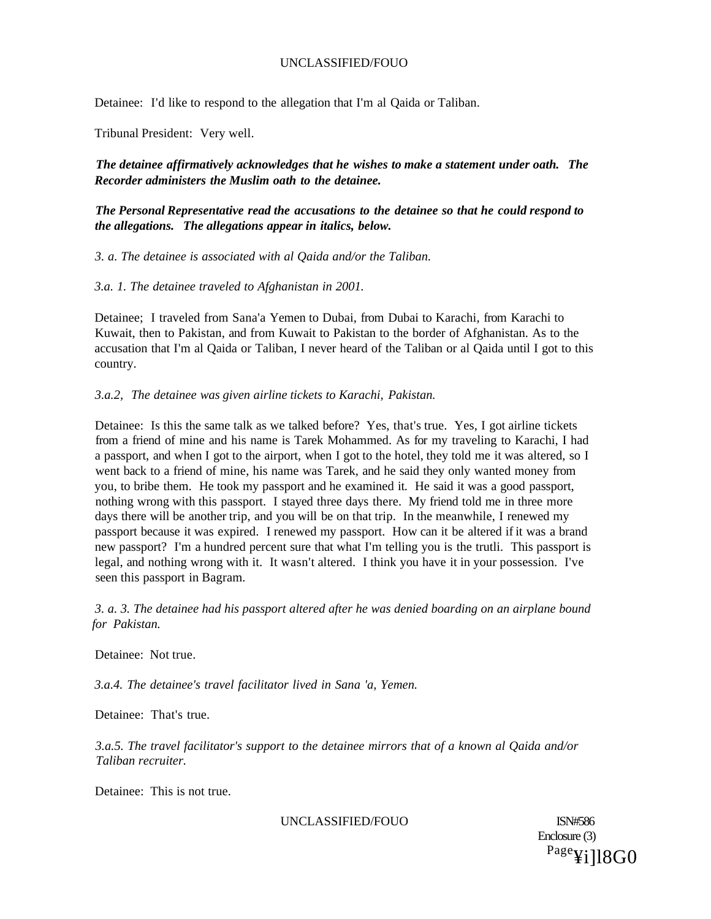Detainee: I'd like to respond to the allegation that I'm al Qaida or Taliban.

Tribunal President: Very well.

*The detainee affirmatively acknowledges that he wishes to make a statement under oath. The Recorder administers the Muslim oath to the detainee.* 

*The Personal Representative read the accusations to the detainee so that he could respond to the allegations. The allegations appear in italics, below.* 

*3. a. The detainee is associated with al Qaida and/or the Taliban.* 

*3.a. 1. The detainee traveled to Afghanistan in 2001.* 

Detainee; I traveled from Sana'a Yemen to Dubai, from Dubai to Karachi, from Karachi to Kuwait, then to Pakistan, and from Kuwait to Pakistan to the border of Afghanistan. As to the accusation that I'm al Qaida or Taliban, I never heard of the Taliban or al Qaida until I got to this country.

## *3.a.2, The detainee was given airline tickets to Karachi, Pakistan.*

Detainee: Is this the same talk as we talked before? Yes, that's true. Yes, I got airline tickets from a friend of mine and his name is Tarek Mohammed. As for my traveling to Karachi, I had a passport, and when I got to the airport, when I got to the hotel, they told me it was altered, so I went back to a friend of mine, his name was Tarek, and he said they only wanted money from you, to bribe them. He took my passport and he examined it. He said it was a good passport, nothing wrong with this passport. I stayed three days there. My friend told me in three more days there will be another trip, and you will be on that trip. In the meanwhile, I renewed my passport because it was expired. I renewed my passport. How can it be altered if it was a brand new passport? I'm a hundred percent sure that what I'm telling you is the trutli. This passport is legal, and nothing wrong with it. It wasn't altered. I think you have it in your possession. I've seen this passport in Bagram.

*3. a. 3. The detainee had his passport altered after he was denied boarding on an airplane bound for Pakistan.* 

Detainee: Not true.

*3.a.4. The detainee's travel facilitator lived in Sana 'a, Yemen.* 

Detainee: That's true.

*3.a.5. The travel facilitator's support to the detainee mirrors that of a known al Qaida and/or Taliban recruiter.* 

Detainee: This is not true.

UNCLASSIFIED/FOUO ISN#586

Enclosure (3) Page¥i]l8G0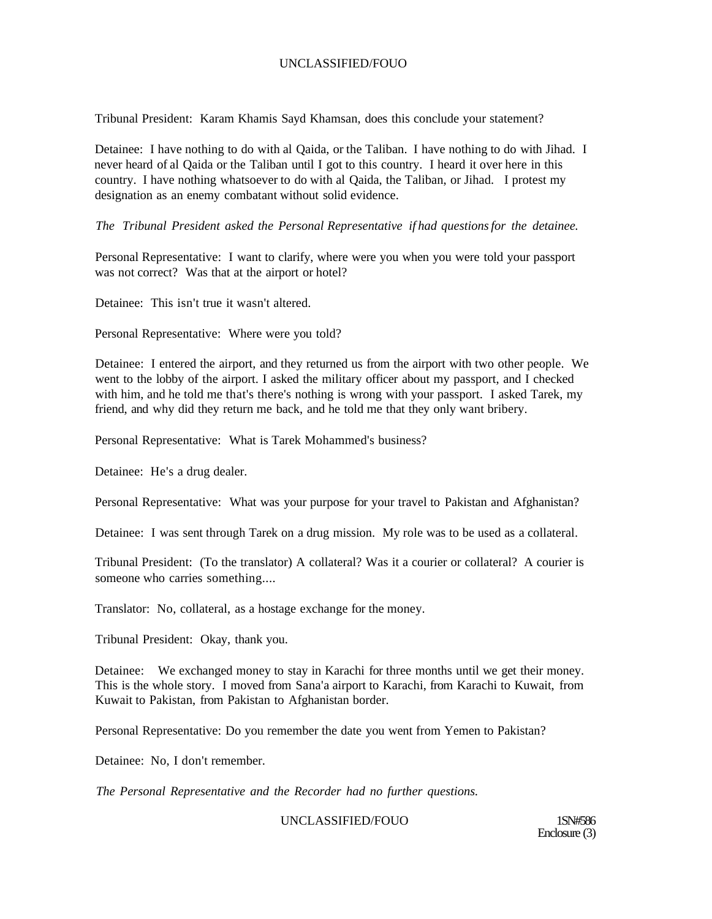Tribunal President: Karam Khamis Sayd Khamsan, does this conclude your statement?

Detainee: I have nothing to do with al Qaida, or the Taliban. I have nothing to do with Jihad. I never heard of al Qaida or the Taliban until I got to this country. I heard it over here in this country. I have nothing whatsoever to do with al Qaida, the Taliban, or Jihad. I protest my designation as an enemy combatant without solid evidence.

*The Tribunal President asked the Personal Representative if had questions for the detainee.* 

Personal Representative: I want to clarify, where were you when you were told your passport was not correct? Was that at the airport or hotel?

Detainee: This isn't true it wasn't altered.

Personal Representative: Where were you told?

Detainee: I entered the airport, and they returned us from the airport with two other people. We went to the lobby of the airport. I asked the military officer about my passport, and I checked with him, and he told me that's there's nothing is wrong with your passport. I asked Tarek, my friend, and why did they return me back, and he told me that they only want bribery.

Personal Representative: What is Tarek Mohammed's business?

Detainee: He's a drug dealer.

Personal Representative: What was your purpose for your travel to Pakistan and Afghanistan?

Detainee: I was sent through Tarek on a drug mission. My role was to be used as a collateral.

Tribunal President: (To the translator) A collateral? Was it a courier or collateral? A courier is someone who carries something....

Translator: No, collateral, as a hostage exchange for the money.

Tribunal President: Okay, thank you.

Detainee: We exchanged money to stay in Karachi for three months until we get their money. This is the whole story. I moved from Sana'a airport to Karachi, from Karachi to Kuwait, from Kuwait to Pakistan, from Pakistan to Afghanistan border.

Personal Representative: Do you remember the date you went from Yemen to Pakistan?

Detainee: No, I don't remember.

*The Personal Representative and the Recorder had no further questions.* 

UNCLASSIFIED/FOUO 1SN#586

Enclosure (3)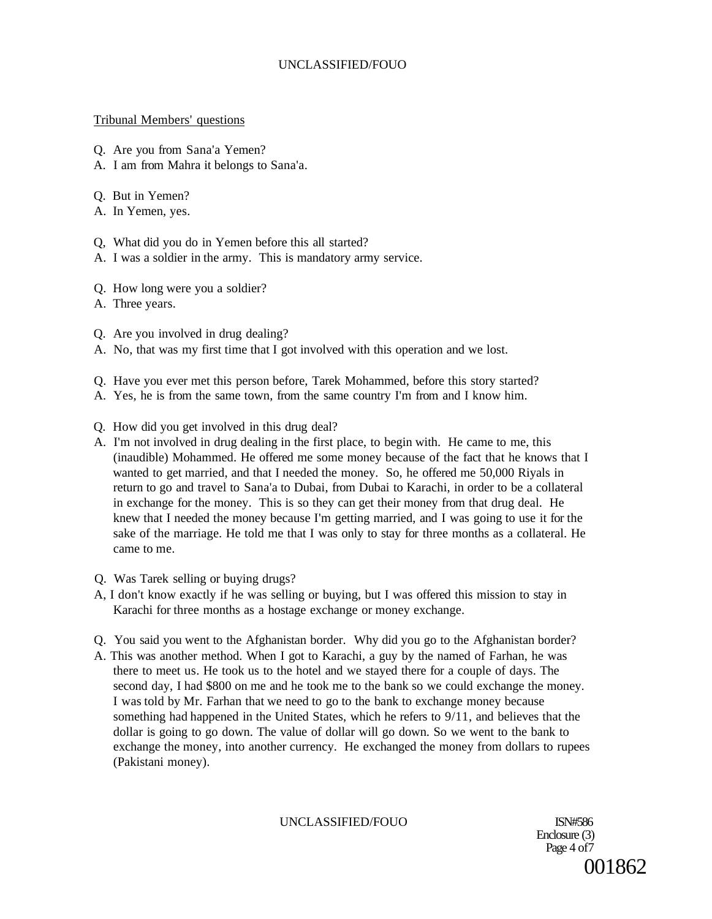## Tribunal Members' questions

- Q. Are you from Sana'a Yemen?
- A. I am from Mahra it belongs to Sana'a.
- Q. But in Yemen?
- A. In Yemen, yes.
- Q, What did you do in Yemen before this all started?
- A. I was a soldier in the army. This is mandatory army service.
- Q. How long were you a soldier?
- A. Three years.
- Q. Are you involved in drug dealing?
- A. No, that was my first time that I got involved with this operation and we lost.
- Q. Have you ever met this person before, Tarek Mohammed, before this story started?
- A. Yes, he is from the same town, from the same country I'm from and I know him.
- Q. How did you get involved in this drug deal?
- A. I'm not involved in drug dealing in the first place, to begin with. He came to me, this (inaudible) Mohammed. He offered me some money because of the fact that he knows that I wanted to get married, and that I needed the money. So, he offered me 50,000 Riyals in return to go and travel to Sana'a to Dubai, from Dubai to Karachi, in order to be a collateral in exchange for the money. This is so they can get their money from that drug deal. He knew that I needed the money because I'm getting married, and I was going to use it for the sake of the marriage. He told me that I was only to stay for three months as a collateral. He came to me.
- Q. Was Tarek selling or buying drugs?
- A, I don't know exactly if he was selling or buying, but I was offered this mission to stay in Karachi for three months as a hostage exchange or money exchange.
- Q. You said you went to the Afghanistan border. Why did you go to the Afghanistan border?
- A. This was another method. When I got to Karachi, a guy by the named of Farhan, he was there to meet us. He took us to the hotel and we stayed there for a couple of days. The second day, I had \$800 on me and he took me to the bank so we could exchange the money. I was told by Mr. Farhan that we need to go to the bank to exchange money because something had happened in the United States, which he refers to 9/11, and believes that the dollar is going to go down. The value of dollar will go down. So we went to the bank to exchange the money, into another currency. He exchanged the money from dollars to rupees (Pakistani money).

UNCLASSIFIED/FOUO ISN#586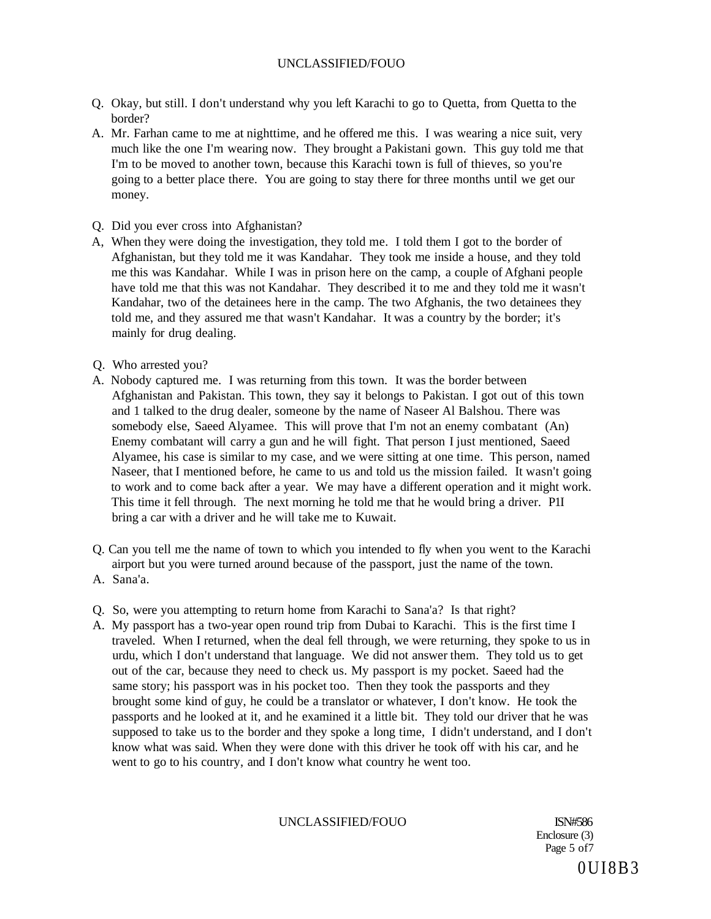- Q. Okay, but still. I don't understand why you left Karachi to go to Quetta, from Quetta to the border?
- A. Mr. Farhan came to me at nighttime, and he offered me this. I was wearing a nice suit, very much like the one I'm wearing now. They brought a Pakistani gown. This guy told me that I'm to be moved to another town, because this Karachi town is full of thieves, so you're going to a better place there. You are going to stay there for three months until we get our money.
- Q. Did you ever cross into Afghanistan?
- A, When they were doing the investigation, they told me. I told them I got to the border of Afghanistan, but they told me it was Kandahar. They took me inside a house, and they told me this was Kandahar. While I was in prison here on the camp, a couple of Afghani people have told me that this was not Kandahar. They described it to me and they told me it wasn't Kandahar, two of the detainees here in the camp. The two Afghanis, the two detainees they told me, and they assured me that wasn't Kandahar. It was a country by the border; it's mainly for drug dealing.
- Q. Who arrested you?
- A. Nobody captured me. I was returning from this town. It was the border between Afghanistan and Pakistan. This town, they say it belongs to Pakistan. I got out of this town and 1 talked to the drug dealer, someone by the name of Naseer Al Balshou. There was somebody else, Saeed Alyamee. This will prove that I'm not an enemy combatant (An) Enemy combatant will carry a gun and he will fight. That person I just mentioned, Saeed Alyamee, his case is similar to my case, and we were sitting at one time. This person, named Naseer, that I mentioned before, he came to us and told us the mission failed. It wasn't going to work and to come back after a year. We may have a different operation and it might work. This time it fell through. The next morning he told me that he would bring a driver. P1I bring a car with a driver and he will take me to Kuwait.
- Q. Can you tell me the name of town to which you intended to fly when you went to the Karachi airport but you were turned around because of the passport, just the name of the town. A. Sana'a.
- Q. So, were you attempting to return home from Karachi to Sana'a? Is that right?
- A. My passport has a two-year open round trip from Dubai to Karachi. This is the first time I traveled. When I returned, when the deal fell through, we were returning, they spoke to us in urdu, which I don't understand that language. We did not answer them. They told us to get out of the car, because they need to check us. My passport is my pocket. Saeed had the same story; his passport was in his pocket too. Then they took the passports and they brought some kind of guy, he could be a translator or whatever, I don't know. He took the passports and he looked at it, and he examined it a little bit. They told our driver that he was supposed to take us to the border and they spoke a long time, I didn't understand, and I don't know what was said. When they were done with this driver he took off with his car, and he went to go to his country, and I don't know what country he went too.

## UNCLASSIFIED/FOUO ISN#586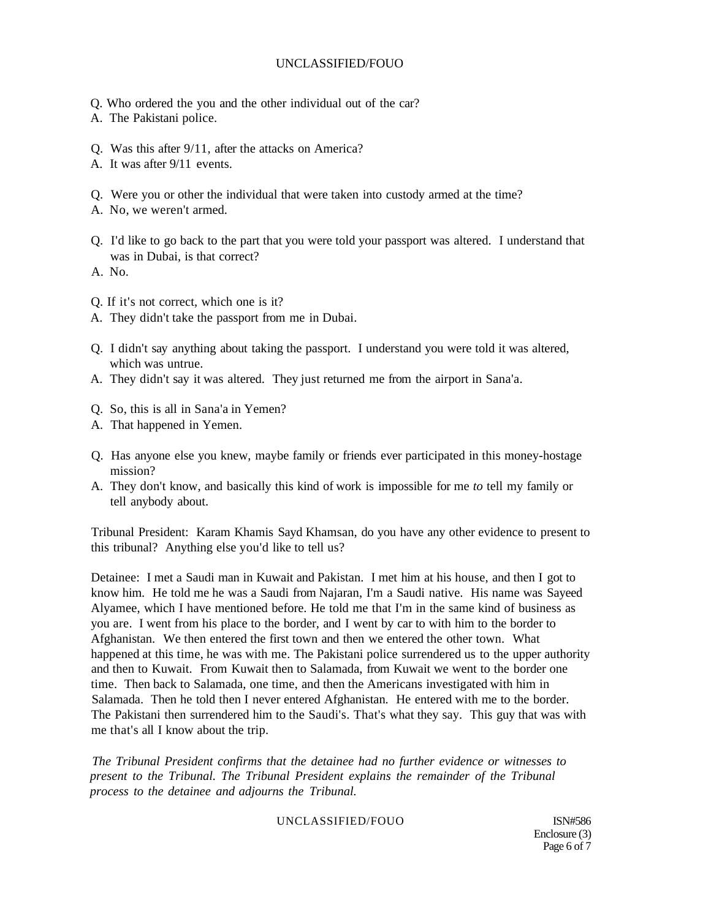- Q. Who ordered the you and the other individual out of the car?
- A. The Pakistani police.
- Q. Was this after 9/11, after the attacks on America?
- A. It was after 9/11 events.
- Q. Were you or other the individual that were taken into custody armed at the time?
- A. No, we weren't armed.
- Q. I'd like to go back to the part that you were told your passport was altered. I understand that was in Dubai, is that correct?
- A. No.
- Q. If it's not correct, which one is it?
- A. They didn't take the passport from me in Dubai.
- Q. I didn't say anything about taking the passport. I understand you were told it was altered, which was untrue.
- A. They didn't say it was altered. They just returned me from the airport in Sana'a.
- Q. So, this is all in Sana'a in Yemen?
- A. That happened in Yemen.
- Q. Has anyone else you knew, maybe family or friends ever participated in this money-hostage mission?
- A. They don't know, and basically this kind of work is impossible for me *to* tell my family or tell anybody about.

Tribunal President: Karam Khamis Sayd Khamsan, do you have any other evidence to present to this tribunal? Anything else you'd like to tell us?

Detainee: I met a Saudi man in Kuwait and Pakistan. I met him at his house, and then I got to know him. He told me he was a Saudi from Najaran, I'm a Saudi native. His name was Sayeed Alyamee, which I have mentioned before. He told me that I'm in the same kind of business as you are. I went from his place to the border, and I went by car to with him to the border to Afghanistan. We then entered the first town and then we entered the other town. What happened at this time, he was with me. The Pakistani police surrendered us to the upper authority and then to Kuwait. From Kuwait then to Salamada, from Kuwait we went to the border one time. Then back to Salamada, one time, and then the Americans investigated with him in Salamada. Then he told then I never entered Afghanistan. He entered with me to the border. The Pakistani then surrendered him to the Saudi's. That's what they say. This guy that was with me that's all I know about the trip.

*The Tribunal President confirms that the detainee had no further evidence or witnesses to present to the Tribunal. The Tribunal President explains the remainder of the Tribunal process to the detainee and adjourns the Tribunal.* 

## UNCLASSIFIED/FOUO ISN#586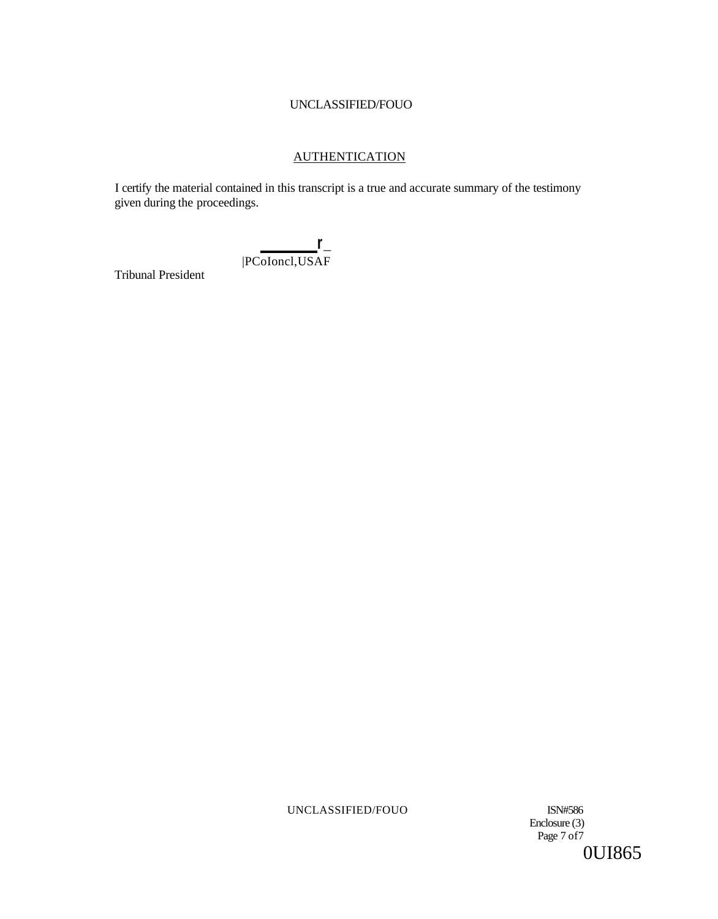# **AUTHENTICATION**

I certify the material contained in this transcript is a true and accurate summary of the testimony given during the proceedings.

> **r\_**  |PCoIoncl,USAF

Tribunal President

UNCLASSIFIED/FOUO ISN#586

Enclosure (3) Page 7 of 7 0UI865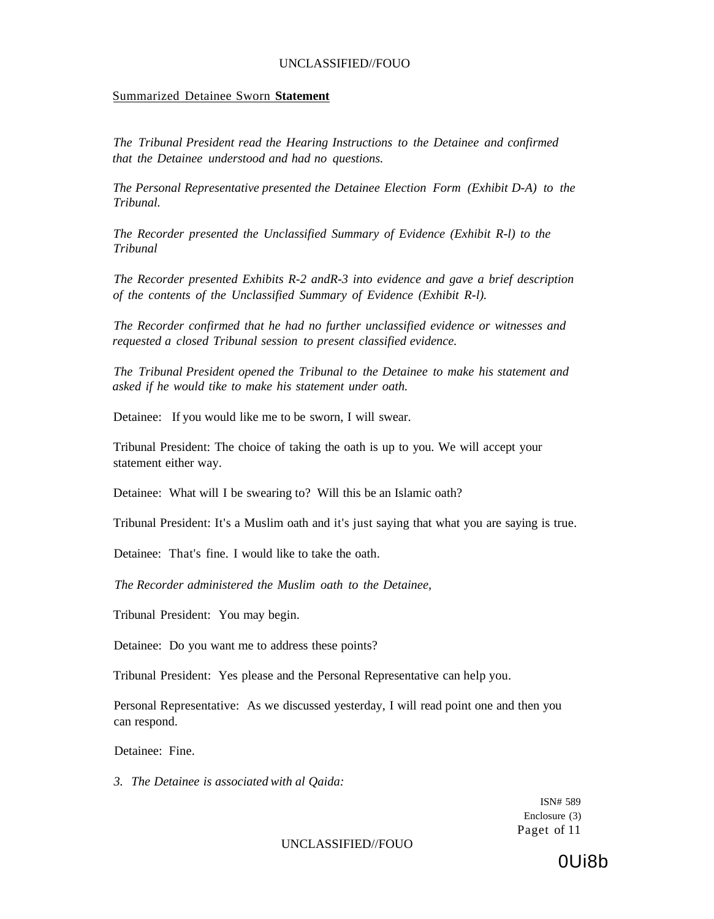#### Summarized Detainee Sworn **Statement**

*The Tribunal President read the Hearing Instructions to the Detainee and confirmed that the Detainee understood and had no questions.* 

*The Personal Representative presented the Detainee Election Form (Exhibit D-A) to the Tribunal.* 

*The Recorder presented the Unclassified Summary of Evidence (Exhibit R-l) to the Tribunal* 

*The Recorder presented Exhibits R-2 andR-3 into evidence and gave a brief description of the contents of the Unclassified Summary of Evidence (Exhibit R-l).* 

*The Recorder confirmed that he had no further unclassified evidence or witnesses and requested a closed Tribunal session to present classified evidence.* 

*The Tribunal President opened the Tribunal to the Detainee to make his statement and asked if he would tike to make his statement under oath.* 

Detainee: If you would like me to be sworn, I will swear.

Tribunal President: The choice of taking the oath is up to you. We will accept your statement either way.

Detainee: What will I be swearing to? Will this be an Islamic oath?

Tribunal President: It's a Muslim oath and it's just saying that what you are saying is true.

Detainee: That's fine. I would like to take the oath.

*The Recorder administered the Muslim oath to the Detainee,* 

Tribunal President: You may begin.

Detainee: Do you want me to address these points?

Tribunal President: Yes please and the Personal Representative can help you.

Personal Representative: As we discussed yesterday, I will read point one and then you can respond.

Detainee: Fine.

*3. The Detainee is associated with al Qaida:* 

ISN# 589 Enclosure (3) Paget of 11

UNCLASSIFIED//FOUO

0Ui8b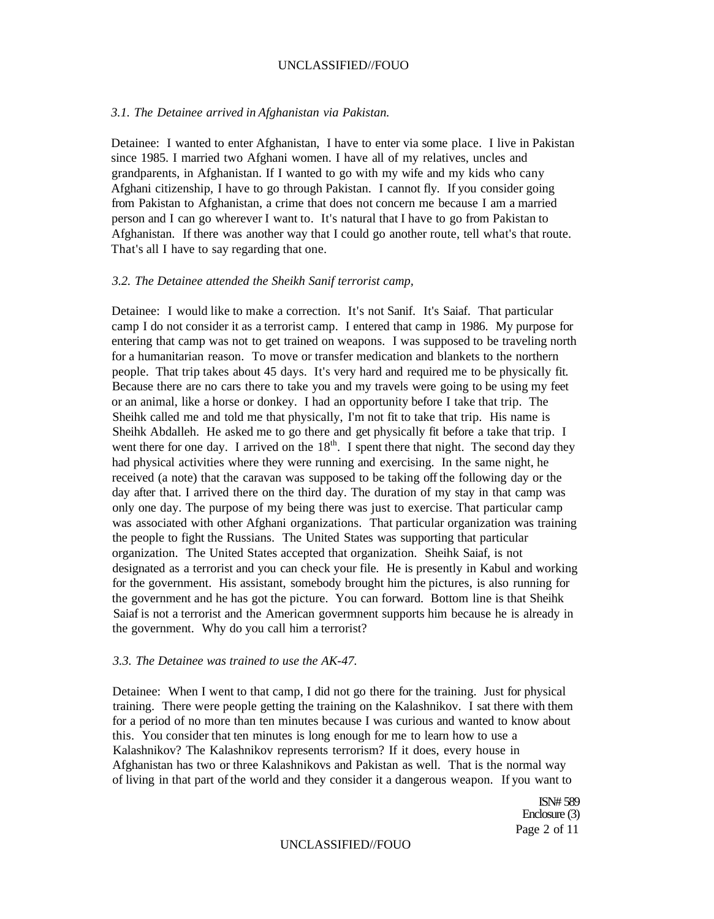#### *3.1. The Detainee arrived in Afghanistan via Pakistan.*

Detainee: I wanted to enter Afghanistan, I have to enter via some place. I live in Pakistan since 1985. I married two Afghani women. I have all of my relatives, uncles and grandparents, in Afghanistan. If I wanted to go with my wife and my kids who cany Afghani citizenship, I have to go through Pakistan. I cannot fly. If you consider going from Pakistan to Afghanistan, a crime that does not concern me because I am a married person and I can go wherever I want to. It's natural that I have to go from Pakistan to Afghanistan. If there was another way that I could go another route, tell what's that route. That's all I have to say regarding that one.

## *3.2. The Detainee attended the Sheikh Sanif terrorist camp,*

Detainee: I would like to make a correction. It's not Sanif. It's Saiaf. That particular camp I do not consider it as a terrorist camp. I entered that camp in 1986. My purpose for entering that camp was not to get trained on weapons. I was supposed to be traveling north for a humanitarian reason. To move or transfer medication and blankets to the northern people. That trip takes about 45 days. It's very hard and required me to be physically fit. Because there are no cars there to take you and my travels were going to be using my feet or an animal, like a horse or donkey. I had an opportunity before I take that trip. The Sheihk called me and told me that physically, I'm not fit to take that trip. His name is Sheihk Abdalleh. He asked me to go there and get physically fit before a take that trip. I went there for one day. I arrived on the  $18<sup>th</sup>$ . I spent there that night. The second day they had physical activities where they were running and exercising. In the same night, he received (a note) that the caravan was supposed to be taking off the following day or the day after that. I arrived there on the third day. The duration of my stay in that camp was only one day. The purpose of my being there was just to exercise. That particular camp was associated with other Afghani organizations. That particular organization was training the people to fight the Russians. The United States was supporting that particular organization. The United States accepted that organization. Sheihk Saiaf, is not designated as a terrorist and you can check your file. He is presently in Kabul and working for the government. His assistant, somebody brought him the pictures, is also running for the government and he has got the picture. You can forward. Bottom line is that Sheihk Saiaf is not a terrorist and the American govermnent supports him because he is already in the government. Why do you call him a terrorist?

#### *3.3. The Detainee was trained to use the AK-47.*

Detainee: When I went to that camp, I did not go there for the training. Just for physical training. There were people getting the training on the Kalashnikov. I sat there with them for a period of no more than ten minutes because I was curious and wanted to know about this. You consider that ten minutes is long enough for me to learn how to use a Kalashnikov? The Kalashnikov represents terrorism? If it does, every house in Afghanistan has two or three Kalashnikovs and Pakistan as well. That is the normal way of living in that part of the world and they consider it a dangerous weapon. If you want to

> ISN# 589 Enclosure (3) Page 2 of 11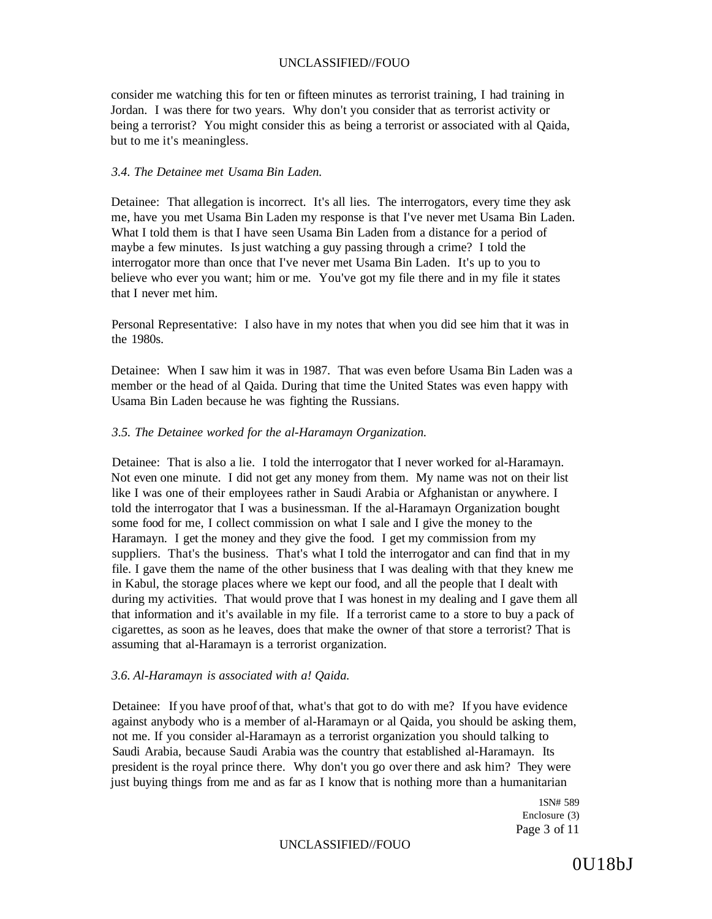consider me watching this for ten or fifteen minutes as terrorist training, I had training in Jordan. I was there for two years. Why don't you consider that as terrorist activity or being a terrorist? You might consider this as being a terrorist or associated with al Qaida, but to me it's meaningless.

#### *3.4. The Detainee met Usama Bin Laden.*

Detainee: That allegation is incorrect. It's all lies. The interrogators, every time they ask me, have you met Usama Bin Laden my response is that I've never met Usama Bin Laden. What I told them is that I have seen Usama Bin Laden from a distance for a period of maybe a few minutes. Is just watching a guy passing through a crime? I told the interrogator more than once that I've never met Usama Bin Laden. It's up to you to believe who ever you want; him or me. You've got my file there and in my file it states that I never met him.

Personal Representative: I also have in my notes that when you did see him that it was in the 1980s.

Detainee: When I saw him it was in 1987. That was even before Usama Bin Laden was a member or the head of al Qaida. During that time the United States was even happy with Usama Bin Laden because he was fighting the Russians.

#### *3.5. The Detainee worked for the al-Haramayn Organization.*

Detainee: That is also a lie. I told the interrogator that I never worked for al-Haramayn. Not even one minute. I did not get any money from them. My name was not on their list like I was one of their employees rather in Saudi Arabia or Afghanistan or anywhere. I told the interrogator that I was a businessman. If the al-Haramayn Organization bought some food for me, I collect commission on what I sale and I give the money to the Haramayn. I get the money and they give the food. I get my commission from my suppliers. That's the business. That's what I told the interrogator and can find that in my file. I gave them the name of the other business that I was dealing with that they knew me in Kabul, the storage places where we kept our food, and all the people that I dealt with during my activities. That would prove that I was honest in my dealing and I gave them all that information and it's available in my file. If a terrorist came to a store to buy a pack of cigarettes, as soon as he leaves, does that make the owner of that store a terrorist? That is assuming that al-Haramayn is a terrorist organization.

#### *3.6. Al-Haramayn is associated with a! Qaida.*

Detainee: If you have proof of that, what's that got to do with me? If you have evidence against anybody who is a member of al-Haramayn or al Qaida, you should be asking them, not me. If you consider al-Haramayn as a terrorist organization you should talking to Saudi Arabia, because Saudi Arabia was the country that established al-Haramayn. Its president is the royal prince there. Why don't you go over there and ask him? They were just buying things from me and as far as I know that is nothing more than a humanitarian

> 1SN# 589 Enclosure (3) Page 3 of 11

#### UNCLASSIFIED//FOUO

0U18bJ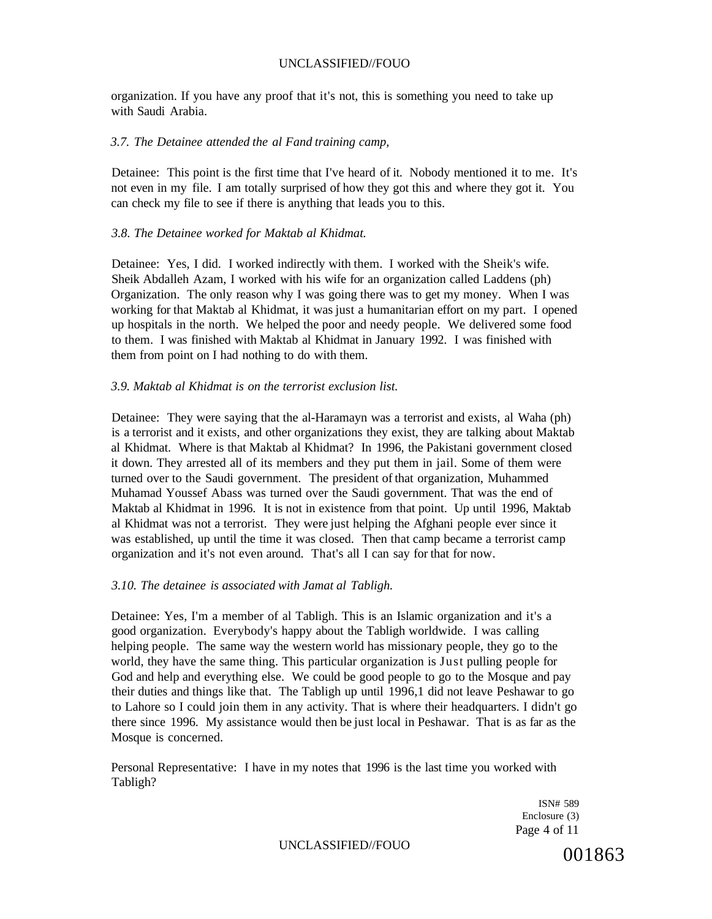organization. If you have any proof that it's not, this is something you need to take up with Saudi Arabia.

## *3.7. The Detainee attended the al Fand training camp,*

Detainee: This point is the first time that I've heard of it. Nobody mentioned it to me. It's not even in my file. I am totally surprised of how they got this and where they got it. You can check my file to see if there is anything that leads you to this.

## *3.8. The Detainee worked for Maktab al Khidmat.*

Detainee: Yes, I did. I worked indirectly with them. I worked with the Sheik's wife. Sheik Abdalleh Azam, I worked with his wife for an organization called Laddens (ph) Organization. The only reason why I was going there was to get my money. When I was working for that Maktab al Khidmat, it was just a humanitarian effort on my part. I opened up hospitals in the north. We helped the poor and needy people. We delivered some food to them. I was finished with Maktab al Khidmat in January 1992. I was finished with them from point on I had nothing to do with them.

## *3.9. Maktab al Khidmat is on the terrorist exclusion list.*

Detainee: They were saying that the al-Haramayn was a terrorist and exists, al Waha (ph) is a terrorist and it exists, and other organizations they exist, they are talking about Maktab al Khidmat. Where is that Maktab al Khidmat? In 1996, the Pakistani government closed it down. They arrested all of its members and they put them in jail. Some of them were turned over to the Saudi government. The president of that organization, Muhammed Muhamad Youssef Abass was turned over the Saudi government. That was the end of Maktab al Khidmat in 1996. It is not in existence from that point. Up until 1996, Maktab al Khidmat was not a terrorist. They were just helping the Afghani people ever since it was established, up until the time it was closed. Then that camp became a terrorist camp organization and it's not even around. That's all I can say for that for now.

## *3.10. The detainee is associated with Jamat al Tabligh.*

Detainee: Yes, I'm a member of al Tabligh. This is an Islamic organization and it's a good organization. Everybody's happy about the Tabligh worldwide. I was calling helping people. The same way the western world has missionary people, they go to the world, they have the same thing. This particular organization is Just pulling people for God and help and everything else. We could be good people to go to the Mosque and pay their duties and things like that. The Tabligh up until 1996,1 did not leave Peshawar to go to Lahore so I could join them in any activity. That is where their headquarters. I didn't go there since 1996. My assistance would then be just local in Peshawar. That is as far as the Mosque is concerned.

Personal Representative: I have in my notes that 1996 is the last time you worked with Tabligh?

> ISN# 589 Enclosure (3) Page 4 of 11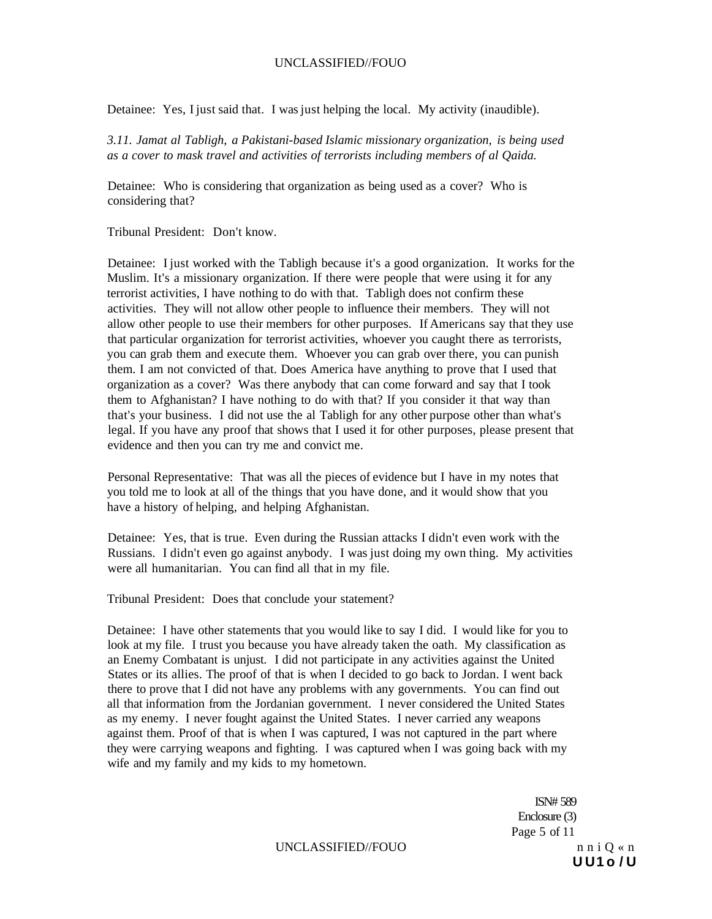Detainee: Yes, I just said that. I was just helping the local. My activity (inaudible).

*3.11. Jamat al Tabligh, a Pakistani-based Islamic missionary organization, is being used as a cover to mask travel and activities of terrorists including members of al Qaida.* 

Detainee: Who is considering that organization as being used as a cover? Who is considering that?

Tribunal President: Don't know.

Detainee: I just worked with the Tabligh because it's a good organization. It works for the Muslim. It's a missionary organization. If there were people that were using it for any terrorist activities, I have nothing to do with that. Tabligh does not confirm these activities. They will not allow other people to influence their members. They will not allow other people to use their members for other purposes. If Americans say that they use that particular organization for terrorist activities, whoever you caught there as terrorists, you can grab them and execute them. Whoever you can grab over there, you can punish them. I am not convicted of that. Does America have anything to prove that I used that organization as a cover? Was there anybody that can come forward and say that I took them to Afghanistan? I have nothing to do with that? If you consider it that way than that's your business. I did not use the al Tabligh for any other purpose other than what's legal. If you have any proof that shows that I used it for other purposes, please present that evidence and then you can try me and convict me.

Personal Representative: That was all the pieces of evidence but I have in my notes that you told me to look at all of the things that you have done, and it would show that you have a history of helping, and helping Afghanistan.

Detainee: Yes, that is true. Even during the Russian attacks I didn't even work with the Russians. I didn't even go against anybody. I was just doing my own thing. My activities were all humanitarian. You can find all that in my file.

Tribunal President: Does that conclude your statement?

Detainee: I have other statements that you would like to say I did. I would like for you to look at my file. I trust you because you have already taken the oath. My classification as an Enemy Combatant is unjust. I did not participate in any activities against the United States or its allies. The proof of that is when I decided to go back to Jordan. I went back there to prove that I did not have any problems with any governments. You can find out all that information from the Jordanian government. I never considered the United States as my enemy. I never fought against the United States. I never carried any weapons against them. Proof of that is when I was captured, I was not captured in the part where they were carrying weapons and fighting. I was captured when I was going back with my wife and my family and my kids to my hometown.

> ISN# 589 Enclosure (3) Page 5 of 11 **U U1 o / U**

UNCLASSIFIED//FOUO nni $Q \ll n$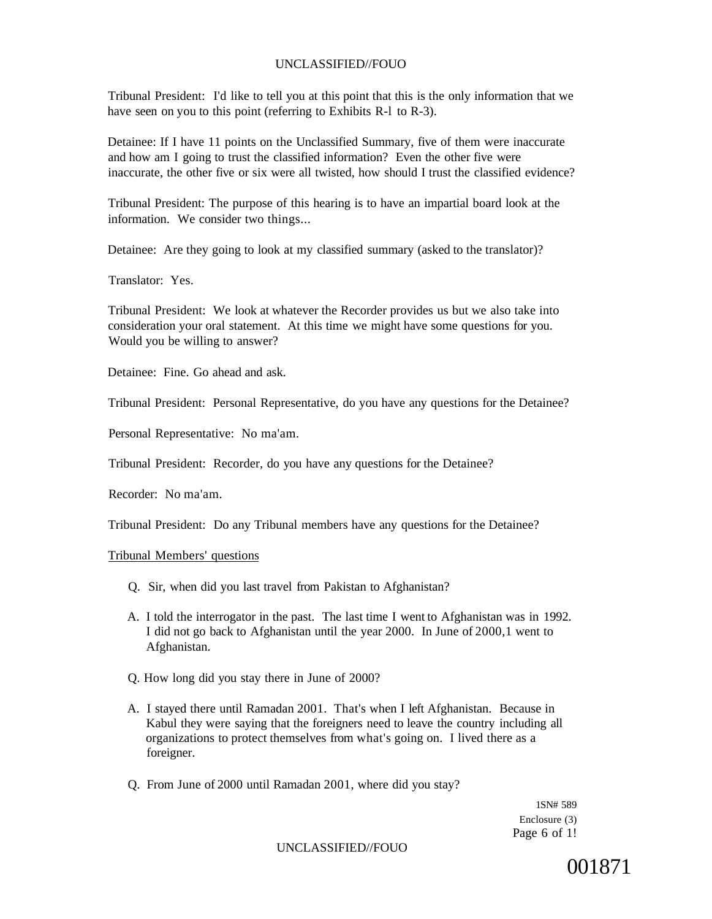Tribunal President: I'd like to tell you at this point that this is the only information that we have seen on you to this point (referring to Exhibits R-1 to R-3).

Detainee: If I have 11 points on the Unclassified Summary, five of them were inaccurate and how am I going to trust the classified information? Even the other five were inaccurate, the other five or six were all twisted, how should I trust the classified evidence?

Tribunal President: The purpose of this hearing is to have an impartial board look at the information. We consider two things...

Detainee: Are they going to look at my classified summary (asked to the translator)?

Translator: Yes.

Tribunal President: We look at whatever the Recorder provides us but we also take into consideration your oral statement. At this time we might have some questions for you. Would you be willing to answer?

Detainee: Fine. Go ahead and ask.

Tribunal President: Personal Representative, do you have any questions for the Detainee?

Personal Representative: No ma'am.

Tribunal President: Recorder, do you have any questions for the Detainee?

Recorder: No ma'am.

Tribunal President: Do any Tribunal members have any questions for the Detainee?

# Tribunal Members' questions

- Q. Sir, when did you last travel from Pakistan to Afghanistan?
- A. I told the interrogator in the past. The last time I went to Afghanistan was in 1992. I did not go back to Afghanistan until the year 2000. In June of 2000,1 went to Afghanistan.
- Q. How long did you stay there in June of 2000?
- A. I stayed there until Ramadan 2001. That's when I left Afghanistan. Because in Kabul they were saying that the foreigners need to leave the country including all organizations to protect themselves from what's going on. I lived there as a foreigner.
- Q. From June of 2000 until Ramadan 2001, where did you stay?

1SN# 589 Enclosure (3) Page 6 of 1!

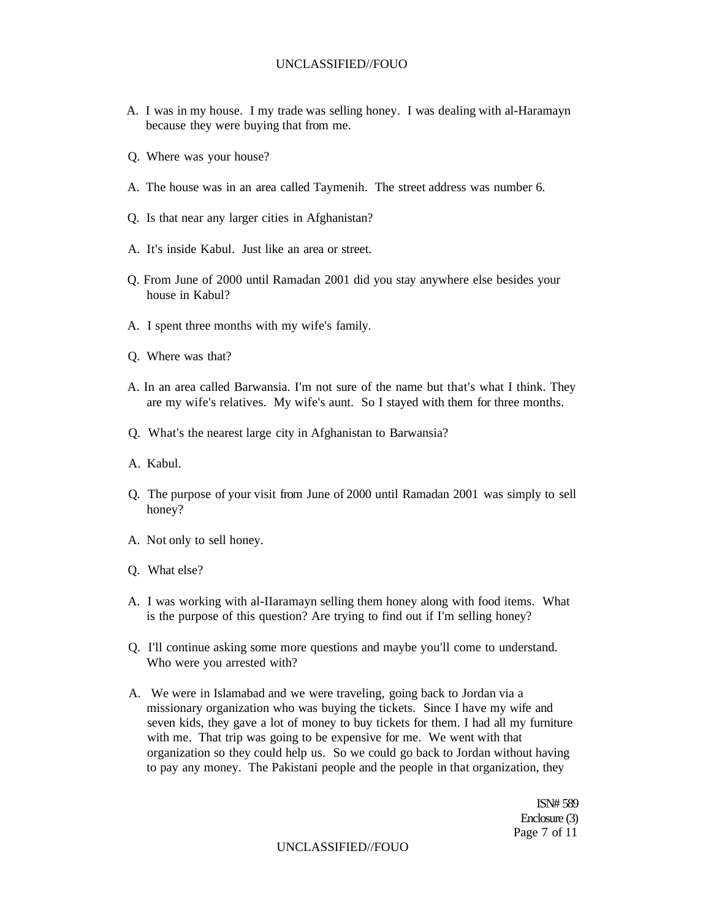- A. I was in my house. I my trade was selling honey. I was dealing with al-Haramayn because they were buying that from me.
- Q. Where was your house?
- A. The house was in an area called Taymenih. The street address was number 6.
- Q. Is that near any larger cities in Afghanistan?
- A. It's inside Kabul. Just like an area or street.
- Q. From June of 2000 until Ramadan 2001 did you stay anywhere else besides your house in Kabul?
- A. I spent three months with my wife's family.
- Q. Where was that?
- A. In an area called Barwansia. I'm not sure of the name but that's what I think. They are my wife's relatives. My wife's aunt. So I stayed with them for three months.
- Q. What's the nearest large city in Afghanistan to Barwansia?
- A. Kabul.
- Q. The purpose of your visit from June of 2000 until Ramadan 2001 was simply to sell honey?
- A. Not only to sell honey.
- Q. What else?
- A. I was working with al-IIaramayn selling them honey along with food items. What is the purpose of this question? Are trying to find out if I'm selling honey?
- Q. I'll continue asking some more questions and maybe you'll come to understand. Who were you arrested with?
- A. We were in Islamabad and we were traveling, going back to Jordan via a missionary organization who was buying the tickets. Since I have my wife and seven kids, they gave a lot of money to buy tickets for them. I had all my furniture with me. That trip was going to be expensive for me. We went with that organization so they could help us. So we could go back to Jordan without having to pay any money. The Pakistani people and the people in that organization, they

ISN# 589 Enclosure (3) Page 7 of 11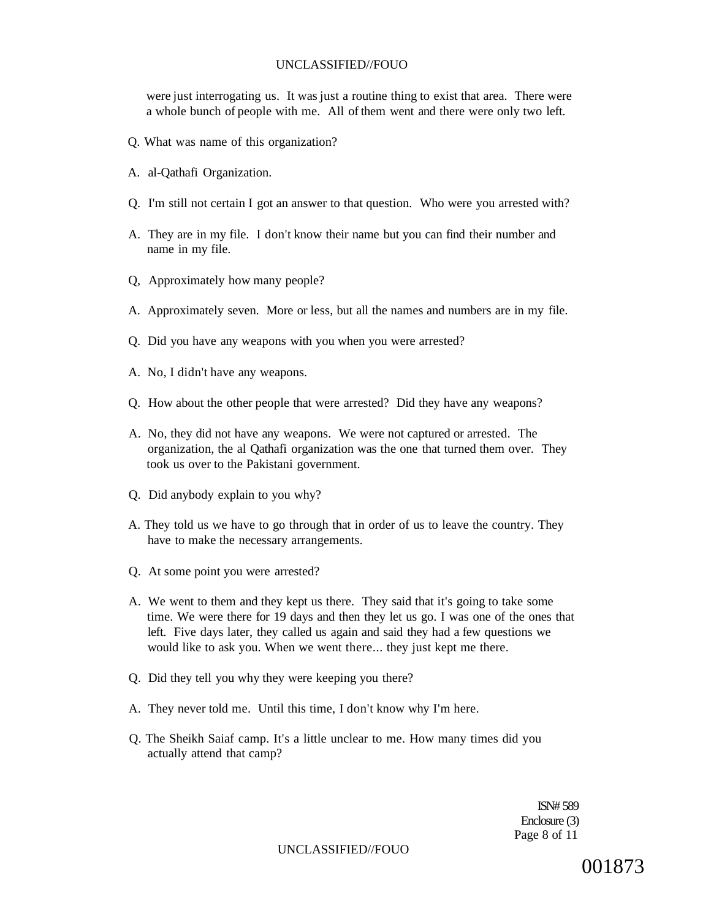were just interrogating us. It was just a routine thing to exist that area. There were a whole bunch of people with me. All of them went and there were only two left.

- Q. What was name of this organization?
- A. al-Qathafi Organization.
- Q. I'm still not certain I got an answer to that question. Who were you arrested with?
- A. They are in my file. I don't know their name but you can find their number and name in my file.
- Q, Approximately how many people?
- A. Approximately seven. More or less, but all the names and numbers are in my file.
- Q. Did you have any weapons with you when you were arrested?
- A. No, I didn't have any weapons.
- Q. How about the other people that were arrested? Did they have any weapons?
- A. No, they did not have any weapons. We were not captured or arrested. The organization, the al Qathafi organization was the one that turned them over. They took us over to the Pakistani government.
- Q. Did anybody explain to you why?
- A. They told us we have to go through that in order of us to leave the country. They have to make the necessary arrangements.
- Q. At some point you were arrested?
- A. We went to them and they kept us there. They said that it's going to take some time. We were there for 19 days and then they let us go. I was one of the ones that left. Five days later, they called us again and said they had a few questions we would like to ask you. When we went there... they just kept me there.
- Q. Did they tell you why they were keeping you there?
- A. They never told me. Until this time, I don't know why I'm here.
- Q. The Sheikh Saiaf camp. It's a little unclear to me. How many times did you actually attend that camp?

ISN# 589 Enclosure (3) Page 8 of 11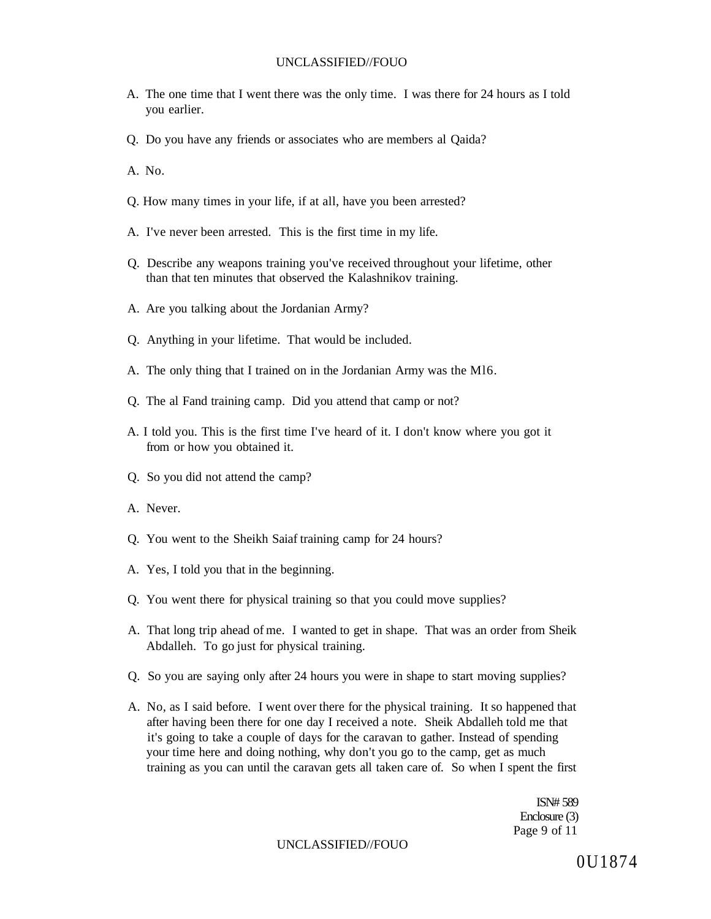- A. The one time that I went there was the only time. I was there for 24 hours as I told you earlier.
- Q. Do you have any friends or associates who are members al Qaida?
- A. No.
- Q. How many times in your life, if at all, have you been arrested?
- A. I've never been arrested. This is the first time in my life.
- Q. Describe any weapons training you've received throughout your lifetime, other than that ten minutes that observed the Kalashnikov training.
- A. Are you talking about the Jordanian Army?
- Q. Anything in your lifetime. That would be included.
- A. The only thing that I trained on in the Jordanian Army was the Ml6.
- Q. The al Fand training camp. Did you attend that camp or not?
- A. I told you. This is the first time I've heard of it. I don't know where you got it from or how you obtained it.
- Q. So you did not attend the camp?
- A. Never.
- Q. You went to the Sheikh Saiaf training camp for 24 hours?
- A. Yes, I told you that in the beginning.
- Q. You went there for physical training so that you could move supplies?
- A. That long trip ahead of me. I wanted to get in shape. That was an order from Sheik Abdalleh. To go just for physical training.
- Q. So you are saying only after 24 hours you were in shape to start moving supplies?
- A. No, as I said before. I went over there for the physical training. It so happened that after having been there for one day I received a note. Sheik Abdalleh told me that it's going to take a couple of days for the caravan to gather. Instead of spending your time here and doing nothing, why don't you go to the camp, get as much training as you can until the caravan gets all taken care of. So when I spent the first

ISN# 589 Enclosure (3) Page 9 of 11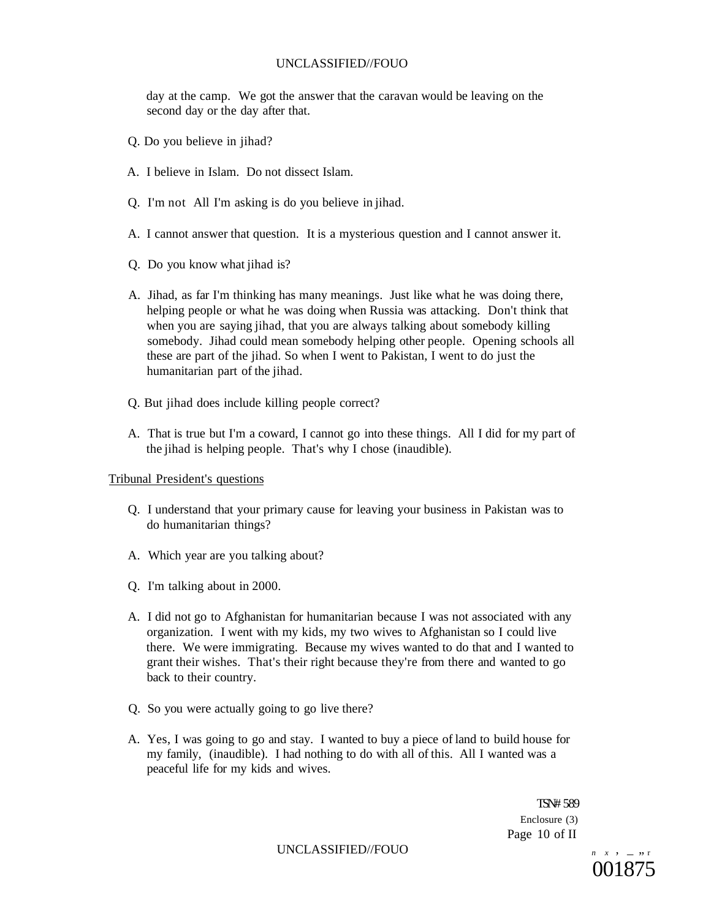day at the camp. We got the answer that the caravan would be leaving on the second day or the day after that.

- Q. Do you believe in jihad?
- A. I believe in Islam. Do not dissect Islam.
- Q. I'm not All I'm asking is do you believe in jihad.
- A. I cannot answer that question. It is a mysterious question and I cannot answer it.
- Q. Do you know what jihad is?
- A. Jihad, as far I'm thinking has many meanings. Just like what he was doing there, helping people or what he was doing when Russia was attacking. Don't think that when you are saying jihad, that you are always talking about somebody killing somebody. Jihad could mean somebody helping other people. Opening schools all these are part of the jihad. So when I went to Pakistan, I went to do just the humanitarian part of the jihad.
- Q. But jihad does include killing people correct?
- A. That is true but I'm a coward, I cannot go into these things. All I did for my part of the jihad is helping people. That's why I chose (inaudible).

## Tribunal President's questions

- Q. I understand that your primary cause for leaving your business in Pakistan was to do humanitarian things?
- A. Which year are you talking about?
- Q. I'm talking about in 2000.
- A. I did not go to Afghanistan for humanitarian because I was not associated with any organization. I went with my kids, my two wives to Afghanistan so I could live there. We were immigrating. Because my wives wanted to do that and I wanted to grant their wishes. That's their right because they're from there and wanted to go back to their country.
- Q. So you were actually going to go live there?
- A. Yes, I was going to go and stay. I wanted to buy a piece of land to build house for my family, (inaudible). I had nothing to do with all of this. All I wanted was a peaceful life for my kids and wives.

TSN# 589 Enclosure (3) Page 10 of II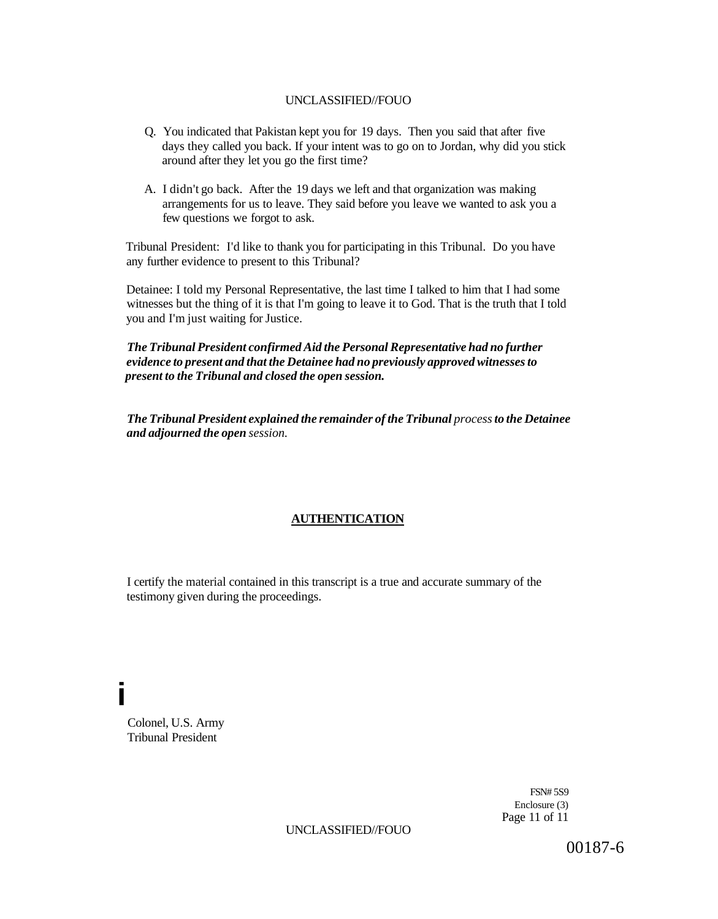- Q. You indicated that Pakistan kept you for 19 days. Then you said that after five days they called you back. If your intent was to go on to Jordan, why did you stick around after they let you go the first time?
- A. I didn't go back. After the 19 days we left and that organization was making arrangements for us to leave. They said before you leave we wanted to ask you a few questions we forgot to ask.

Tribunal President: I'd like to thank you for participating in this Tribunal. Do you have any further evidence to present to this Tribunal?

Detainee: I told my Personal Representative, the last time I talked to him that I had some witnesses but the thing of it is that I'm going to leave it to God. That is the truth that I told you and I'm just waiting for Justice.

*The Tribunal President confirmed Aid the Personal Representative had no further evidence to present and that the Detainee had no previously approved witnesses to present to the Tribunal and closed the open session.* 

*The Tribunal President explained the remainder of the Tribunal process to the Detainee and adjourned the open session.* 

## **AUTHENTICATION**

I certify the material contained in this transcript is a true and accurate summary of the testimony given during the proceedings.

Colonel, U.S. Army Tribunal President

**i** 

FSN# 5S9 Enclosure (3) Page 11 of 11

UNCLASSIFIED//FOUO

00187-6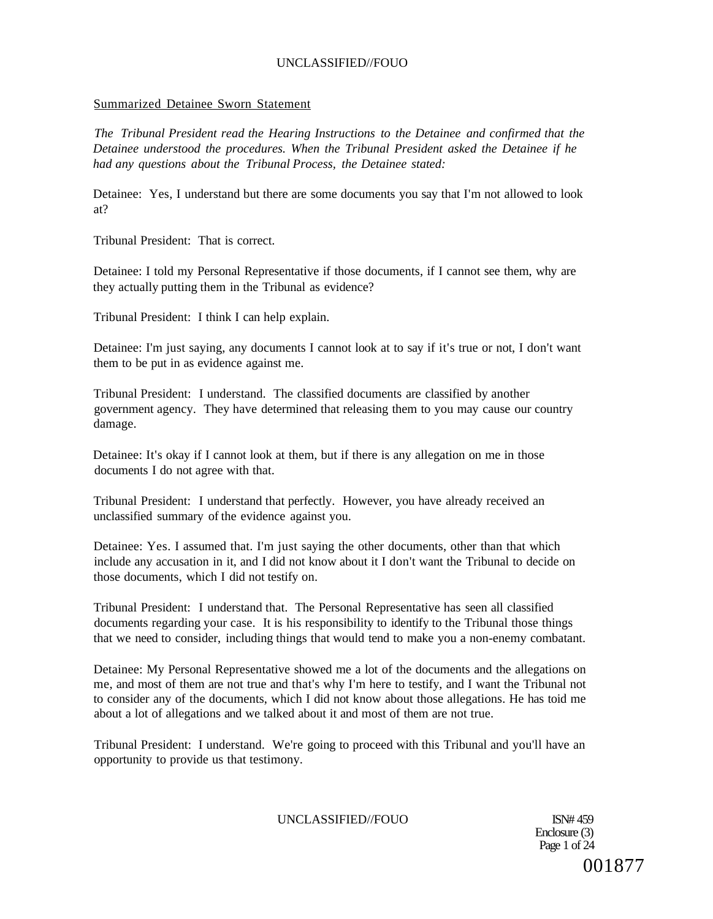## Summarized Detainee Sworn Statement

*The Tribunal President read the Hearing Instructions to the Detainee and confirmed that the Detainee understood the procedures. When the Tribunal President asked the Detainee if he had any questions about the Tribunal Process, the Detainee stated:* 

Detainee: Yes, I understand but there are some documents you say that I'm not allowed to look at?

Tribunal President: That is correct.

Detainee: I told my Personal Representative if those documents, if I cannot see them, why are they actually putting them in the Tribunal as evidence?

Tribunal President: I think I can help explain.

Detainee: I'm just saying, any documents I cannot look at to say if it's true or not, I don't want them to be put in as evidence against me.

Tribunal President: I understand. The classified documents are classified by another government agency. They have determined that releasing them to you may cause our country damage.

Detainee: It's okay if I cannot look at them, but if there is any allegation on me in those documents I do not agree with that.

Tribunal President: I understand that perfectly. However, you have already received an unclassified summary of the evidence against you.

Detainee: Yes. I assumed that. I'm just saying the other documents, other than that which include any accusation in it, and I did not know about it I don't want the Tribunal to decide on those documents, which I did not testify on.

Tribunal President: I understand that. The Personal Representative has seen all classified documents regarding your case. It is his responsibility to identify to the Tribunal those things that we need to consider, including things that would tend to make you a non-enemy combatant.

Detainee: My Personal Representative showed me a lot of the documents and the allegations on me, and most of them are not true and that's why I'm here to testify, and I want the Tribunal not to consider any of the documents, which I did not know about those allegations. He has toid me about a lot of allegations and we talked about it and most of them are not true.

Tribunal President: I understand. We're going to proceed with this Tribunal and you'll have an opportunity to provide us that testimony.

UNCLASSIFIED//FOUO ISN# 459

Enclosure (3) Page 1 of 24 001877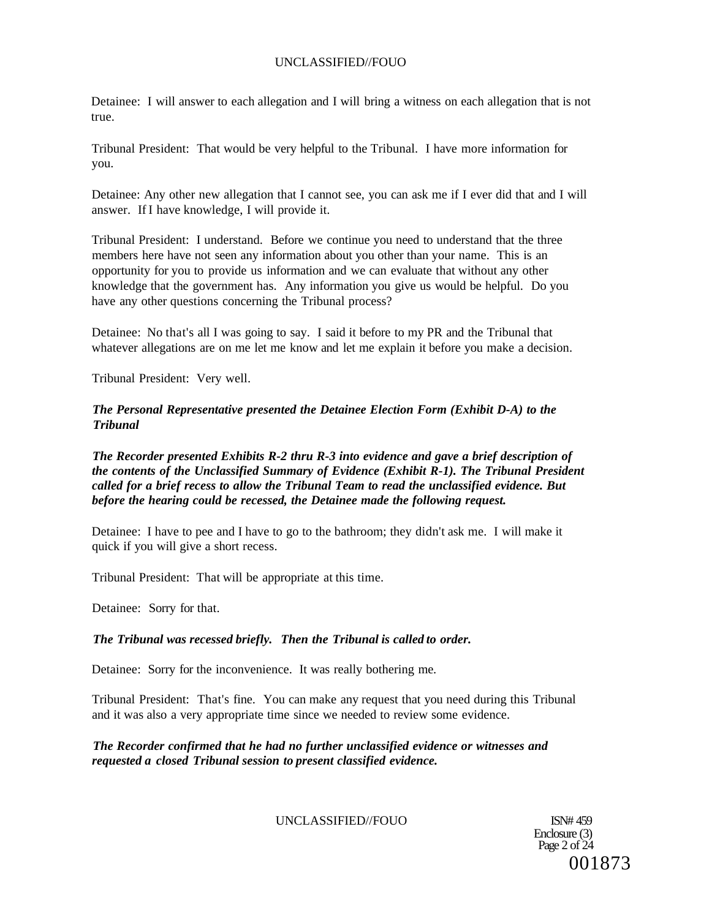Detainee: I will answer to each allegation and I will bring a witness on each allegation that is not true.

Tribunal President: That would be very helpful to the Tribunal. I have more information for you.

Detainee: Any other new allegation that I cannot see, you can ask me if I ever did that and I will answer. If I have knowledge, I will provide it.

Tribunal President: I understand. Before we continue you need to understand that the three members here have not seen any information about you other than your name. This is an opportunity for you to provide us information and we can evaluate that without any other knowledge that the government has. Any information you give us would be helpful. Do you have any other questions concerning the Tribunal process?

Detainee: No that's all I was going to say. I said it before to my PR and the Tribunal that whatever allegations are on me let me know and let me explain it before you make a decision.

Tribunal President: Very well.

*The Personal Representative presented the Detainee Election Form (Exhibit D-A) to the Tribunal* 

*The Recorder presented Exhibits R-2 thru R-3 into evidence and gave a brief description of the contents of the Unclassified Summary of Evidence (Exhibit R-1). The Tribunal President called for a brief recess to allow the Tribunal Team to read the unclassified evidence. But before the hearing could be recessed, the Detainee made the following request.* 

Detainee: I have to pee and I have to go to the bathroom; they didn't ask me. I will make it quick if you will give a short recess.

Tribunal President: That will be appropriate at this time.

Detainee: Sorry for that.

#### *The Tribunal was recessed briefly. Then the Tribunal is called to order.*

Detainee: Sorry for the inconvenience. It was really bothering me.

Tribunal President: That's fine. You can make any request that you need during this Tribunal and it was also a very appropriate time since we needed to review some evidence.

*The Recorder confirmed that he had no further unclassified evidence or witnesses and requested a closed Tribunal session to present classified evidence.* 

## UNCLASSIFIED//FOUO ISN# 459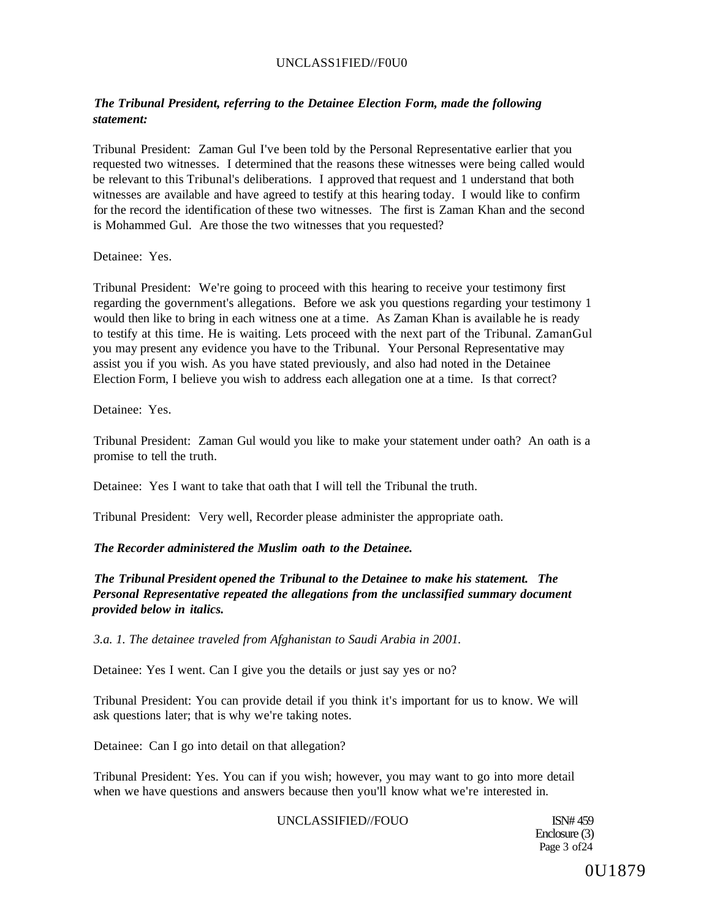## UNCLASS1FIED//F0U0

# *The Tribunal President, referring to the Detainee Election Form, made the following statement:*

Tribunal President: Zaman Gul I've been told by the Personal Representative earlier that you requested two witnesses. I determined that the reasons these witnesses were being called would be relevant to this Tribunal's deliberations. I approved that request and 1 understand that both witnesses are available and have agreed to testify at this hearing today. I would like to confirm for the record the identification of these two witnesses. The first is Zaman Khan and the second is Mohammed Gul. Are those the two witnesses that you requested?

Detainee: Yes.

Tribunal President: We're going to proceed with this hearing to receive your testimony first regarding the government's allegations. Before we ask you questions regarding your testimony 1 would then like to bring in each witness one at a time. As Zaman Khan is available he is ready to testify at this time. He is waiting. Lets proceed with the next part of the Tribunal. ZamanGul you may present any evidence you have to the Tribunal. Your Personal Representative may assist you if you wish. As you have stated previously, and also had noted in the Detainee Election Form, I believe you wish to address each allegation one at a time. Is that correct?

Detainee: Yes.

Tribunal President: Zaman Gul would you like to make your statement under oath? An oath is a promise to tell the truth.

Detainee: Yes I want to take that oath that I will tell the Tribunal the truth.

Tribunal President: Very well, Recorder please administer the appropriate oath.

## *The Recorder administered the Muslim oath to the Detainee.*

*The Tribunal President opened the Tribunal to the Detainee to make his statement. The Personal Representative repeated the allegations from the unclassified summary document provided below in italics.* 

*3.a. 1. The detainee traveled from Afghanistan to Saudi Arabia in 2001.* 

Detainee: Yes I went. Can I give you the details or just say yes or no?

Tribunal President: You can provide detail if you think it's important for us to know. We will ask questions later; that is why we're taking notes.

Detainee: Can I go into detail on that allegation?

Tribunal President: Yes. You can if you wish; however, you may want to go into more detail when we have questions and answers because then you'll know what we're interested in.

## UNCLASSIFIED//FOUO ISN# 459

Enclosure (3) Page 3 of 24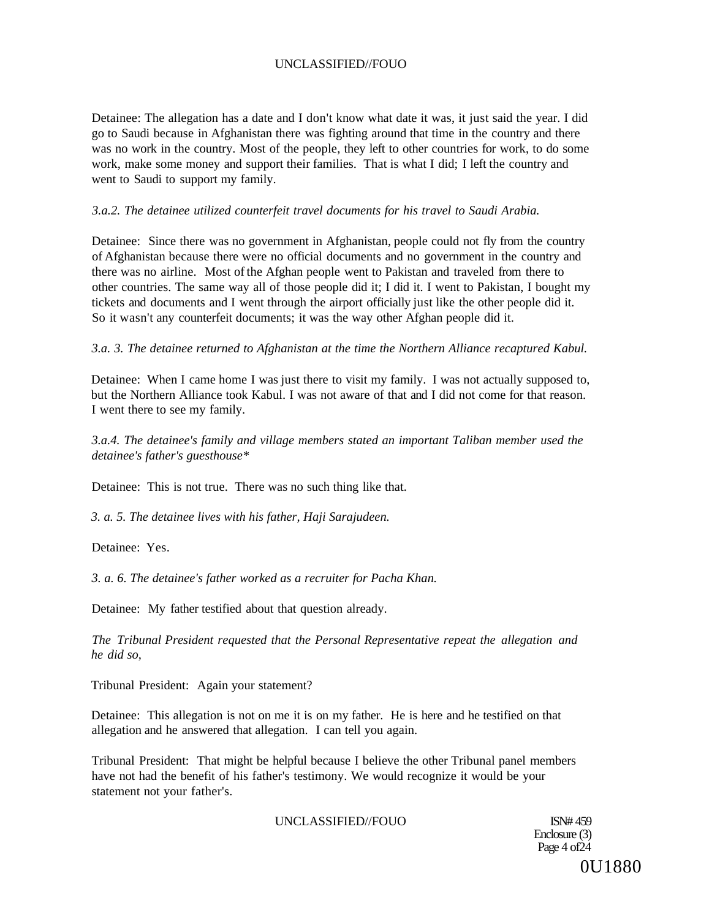Detainee: The allegation has a date and I don't know what date it was, it just said the year. I did go to Saudi because in Afghanistan there was fighting around that time in the country and there was no work in the country. Most of the people, they left to other countries for work, to do some work, make some money and support their families. That is what I did; I left the country and went to Saudi to support my family.

## *3.a.2. The detainee utilized counterfeit travel documents for his travel to Saudi Arabia.*

Detainee: Since there was no government in Afghanistan, people could not fly from the country of Afghanistan because there were no official documents and no government in the country and there was no airline. Most of the Afghan people went to Pakistan and traveled from there to other countries. The same way all of those people did it; I did it. I went to Pakistan, I bought my tickets and documents and I went through the airport officially just like the other people did it. So it wasn't any counterfeit documents; it was the way other Afghan people did it.

## *3.a. 3. The detainee returned to Afghanistan at the time the Northern Alliance recaptured Kabul.*

Detainee: When I came home I was just there to visit my family. I was not actually supposed to, but the Northern Alliance took Kabul. I was not aware of that and I did not come for that reason. I went there to see my family.

*3.a.4. The detainee's family and village members stated an important Taliban member used the detainee's father's guesthouse\** 

Detainee: This is not true. There was no such thing like that.

*3. a. 5. The detainee lives with his father, Haji Sarajudeen.* 

Detainee: Yes.

*3. a. 6. The detainee's father worked as a recruiter for Pacha Khan.* 

Detainee: My father testified about that question already.

*The Tribunal President requested that the Personal Representative repeat the allegation and he did so,* 

Tribunal President: Again your statement?

Detainee: This allegation is not on me it is on my father. He is here and he testified on that allegation and he answered that allegation. I can tell you again.

Tribunal President: That might be helpful because I believe the other Tribunal panel members have not had the benefit of his father's testimony. We would recognize it would be your statement not your father's.

UNCLASSIFIED//FOUO ISN# 459

Enclosure (3) Page  $4$  of  $24$ 0U1880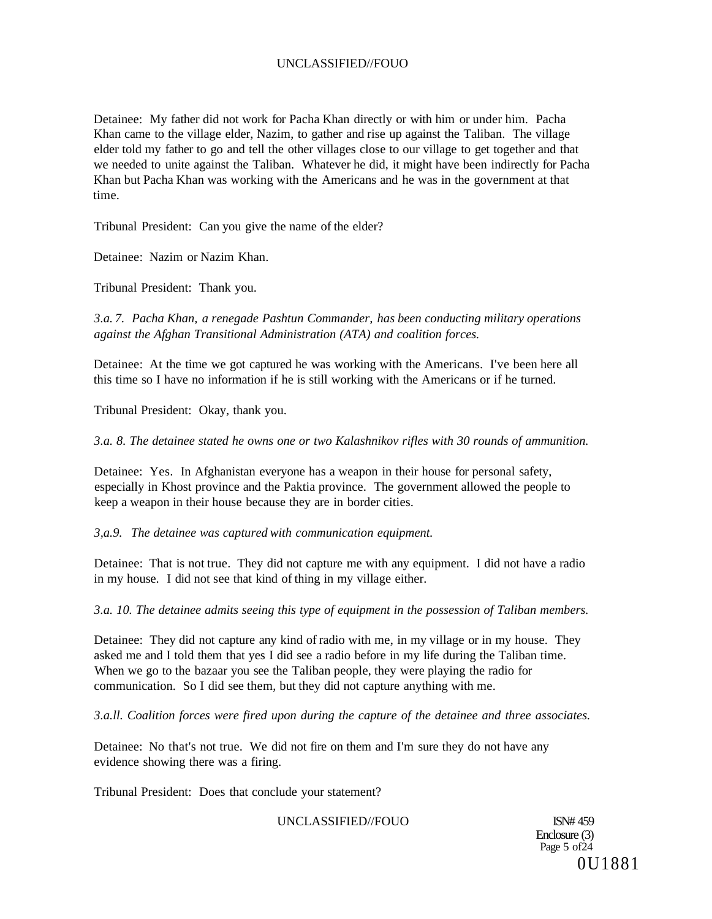Detainee: My father did not work for Pacha Khan directly or with him or under him. Pacha Khan came to the village elder, Nazim, to gather and rise up against the Taliban. The village elder told my father to go and tell the other villages close to our village to get together and that we needed to unite against the Taliban. Whatever he did, it might have been indirectly for Pacha Khan but Pacha Khan was working with the Americans and he was in the government at that time.

Tribunal President: Can you give the name of the elder?

Detainee: Nazim or Nazim Khan.

Tribunal President: Thank you.

*3.a. 7. Pacha Khan, a renegade Pashtun Commander, has been conducting military operations against the Afghan Transitional Administration (ATA) and coalition forces.* 

Detainee: At the time we got captured he was working with the Americans. I've been here all this time so I have no information if he is still working with the Americans or if he turned.

Tribunal President: Okay, thank you.

*3.a. 8. The detainee stated he owns one or two Kalashnikov rifles with 30 rounds of ammunition.* 

Detainee: Yes. In Afghanistan everyone has a weapon in their house for personal safety, especially in Khost province and the Paktia province. The government allowed the people to keep a weapon in their house because they are in border cities.

*3,a.9. The detainee was captured with communication equipment.* 

Detainee: That is not true. They did not capture me with any equipment. I did not have a radio in my house. I did not see that kind of thing in my village either.

*3.a. 10. The detainee admits seeing this type of equipment in the possession of Taliban members.* 

Detainee: They did not capture any kind of radio with me, in my village or in my house. They asked me and I told them that yes I did see a radio before in my life during the Taliban time. When we go to the bazaar you see the Taliban people, they were playing the radio for communication. So I did see them, but they did not capture anything with me.

*3.a.ll. Coalition forces were fired upon during the capture of the detainee and three associates.* 

Detainee: No that's not true. We did not fire on them and I'm sure they do not have any evidence showing there was a firing.

Tribunal President: Does that conclude your statement?

UNCLASSIFIED//FOUO ISN# 459

Enclosure (3) Page 5 of  $\angle$  $\angle$ 4 0U1881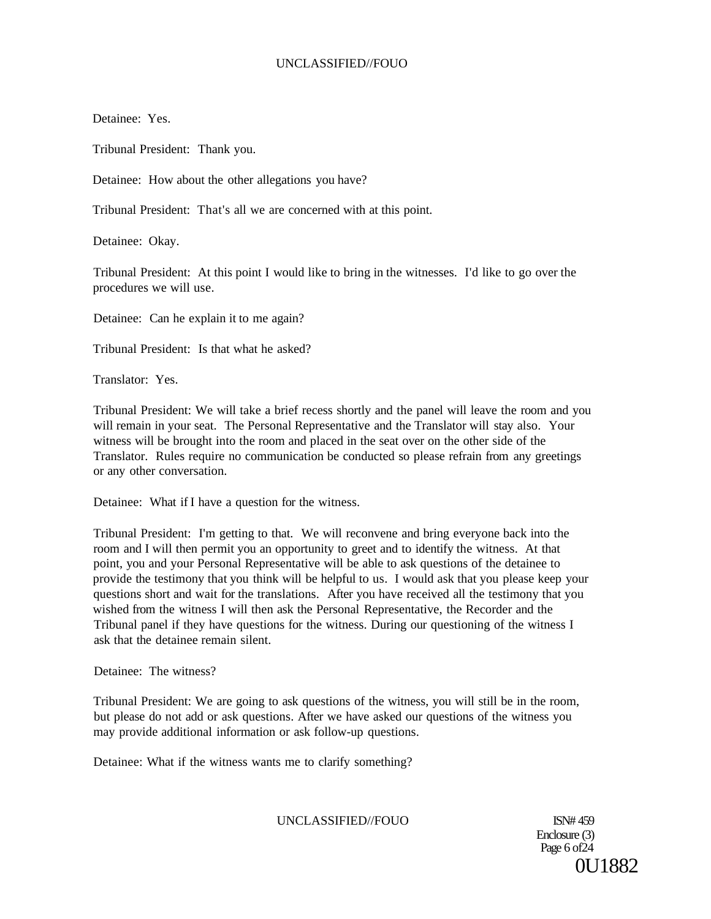Detainee: Yes.

Tribunal President: Thank you.

Detainee: How about the other allegations you have?

Tribunal President: That's all we are concerned with at this point.

Detainee: Okay.

Tribunal President: At this point I would like to bring in the witnesses. I'd like to go over the procedures we will use.

Detainee: Can he explain it to me again?

Tribunal President: Is that what he asked?

Translator: Yes.

Tribunal President: We will take a brief recess shortly and the panel will leave the room and you will remain in your seat. The Personal Representative and the Translator will stay also. Your witness will be brought into the room and placed in the seat over on the other side of the Translator. Rules require no communication be conducted so please refrain from any greetings or any other conversation.

Detainee: What if I have a question for the witness.

Tribunal President: I'm getting to that. We will reconvene and bring everyone back into the room and I will then permit you an opportunity to greet and to identify the witness. At that point, you and your Personal Representative will be able to ask questions of the detainee to provide the testimony that you think will be helpful to us. I would ask that you please keep your questions short and wait for the translations. After you have received all the testimony that you wished from the witness I will then ask the Personal Representative, the Recorder and the Tribunal panel if they have questions for the witness. During our questioning of the witness I ask that the detainee remain silent.

Detainee: The witness?

Tribunal President: We are going to ask questions of the witness, you will still be in the room, but please do not add or ask questions. After we have asked our questions of the witness you may provide additional information or ask follow-up questions.

Detainee: What if the witness wants me to clarify something?

UNCLASSIFIED//FOUO ISN# 459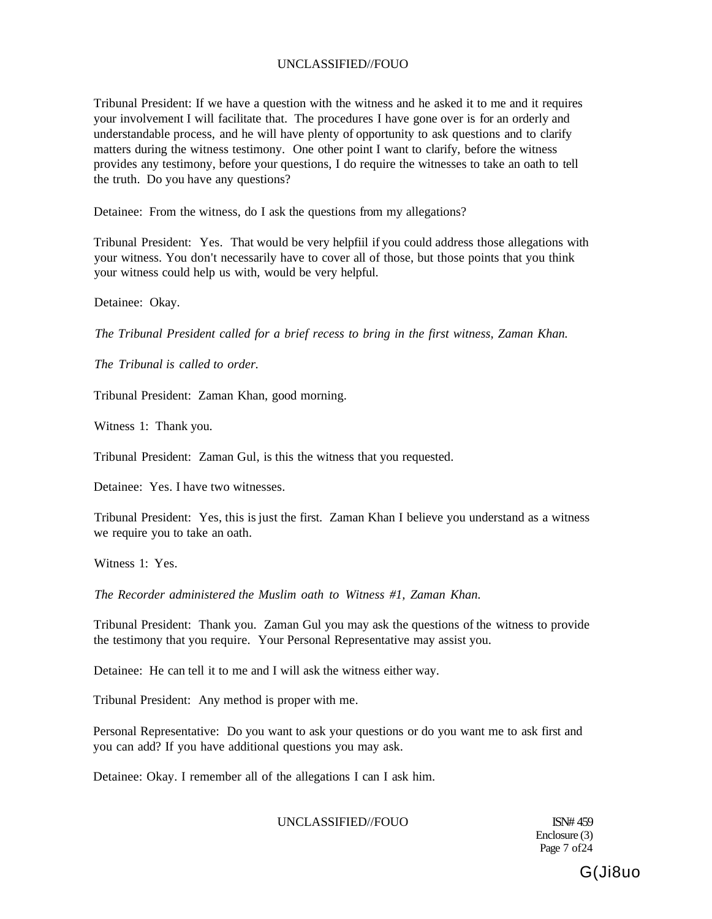Tribunal President: If we have a question with the witness and he asked it to me and it requires your involvement I will facilitate that. The procedures I have gone over is for an orderly and understandable process, and he will have plenty of opportunity to ask questions and to clarify matters during the witness testimony. One other point I want to clarify, before the witness provides any testimony, before your questions, I do require the witnesses to take an oath to tell the truth. Do you have any questions?

Detainee: From the witness, do I ask the questions from my allegations?

Tribunal President: Yes. That would be very helpfiil if you could address those allegations with your witness. You don't necessarily have to cover all of those, but those points that you think your witness could help us with, would be very helpful.

Detainee: Okay.

*The Tribunal President called for a brief recess to bring in the first witness, Zaman Khan.* 

*The Tribunal is called to order.* 

Tribunal President: Zaman Khan, good morning.

Witness 1: Thank you.

Tribunal President: Zaman Gul, is this the witness that you requested.

Detainee: Yes. I have two witnesses.

Tribunal President: Yes, this is just the first. Zaman Khan I believe you understand as a witness we require you to take an oath.

Witness 1: Yes.

*The Recorder administered the Muslim oath to Witness #1, Zaman Khan.* 

Tribunal President: Thank you. Zaman Gul you may ask the questions of the witness to provide the testimony that you require. Your Personal Representative may assist you.

Detainee: He can tell it to me and I will ask the witness either way.

Tribunal President: Any method is proper with me.

Personal Representative: Do you want to ask your questions or do you want me to ask first and you can add? If you have additional questions you may ask.

Detainee: Okay. I remember all of the allegations I can I ask him.

## UNCLASSIFIED//FOUO ISN# 459

Enclosure (3) Page 7 of 24

G(Ji8uo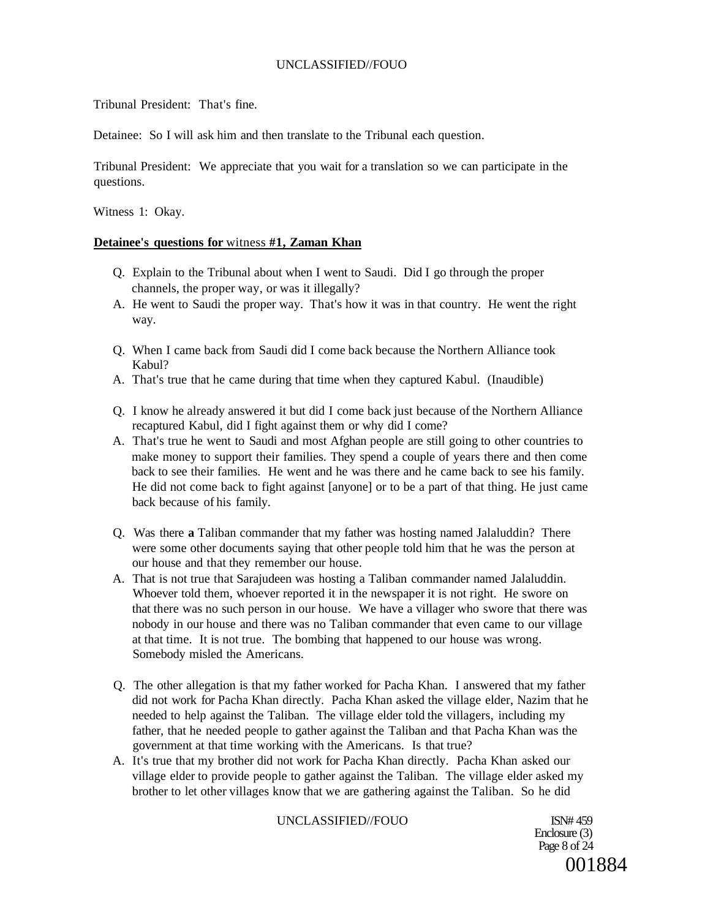Tribunal President: That's fine.

Detainee: So I will ask him and then translate to the Tribunal each question.

Tribunal President: We appreciate that you wait for a translation so we can participate in the questions.

Witness 1: Okay.

## **Detainee's questions for** witness **#1, Zaman Khan**

- Q. Explain to the Tribunal about when I went to Saudi. Did I go through the proper channels, the proper way, or was it illegally?
- A. He went to Saudi the proper way. That's how it was in that country. He went the right way.
- Q. When I came back from Saudi did I come back because the Northern Alliance took Kabul?
- A. That's true that he came during that time when they captured Kabul. (Inaudible)
- Q. I know he already answered it but did I come back just because of the Northern Alliance recaptured Kabul, did I fight against them or why did I come?
- A. That's true he went to Saudi and most Afghan people are still going to other countries to make money to support their families. They spend a couple of years there and then come back to see their families. He went and he was there and he came back to see his family. He did not come back to fight against [anyone] or to be a part of that thing. He just came back because of his family.
- Q. Was there **a** Taliban commander that my father was hosting named Jalaluddin? There were some other documents saying that other people told him that he was the person at our house and that they remember our house.
- A. That is not true that Sarajudeen was hosting a Taliban commander named Jalaluddin. Whoever told them, whoever reported it in the newspaper it is not right. He swore on that there was no such person in our house. We have a villager who swore that there was nobody in our house and there was no Taliban commander that even came to our village at that time. It is not true. The bombing that happened to our house was wrong. Somebody misled the Americans.
- Q. The other allegation is that my father worked for Pacha Khan. I answered that my father did not work for Pacha Khan directly. Pacha Khan asked the village elder, Nazim that he needed to help against the Taliban. The village elder told the villagers, including my father, that he needed people to gather against the Taliban and that Pacha Khan was the government at that time working with the Americans. Is that true?
- A. It's true that my brother did not work for Pacha Khan directly. Pacha Khan asked our village elder to provide people to gather against the Taliban. The village elder asked my brother to let other villages know that we are gathering against the Taliban. So he did

## UNCLASSIFIED//FOUO ISN# 459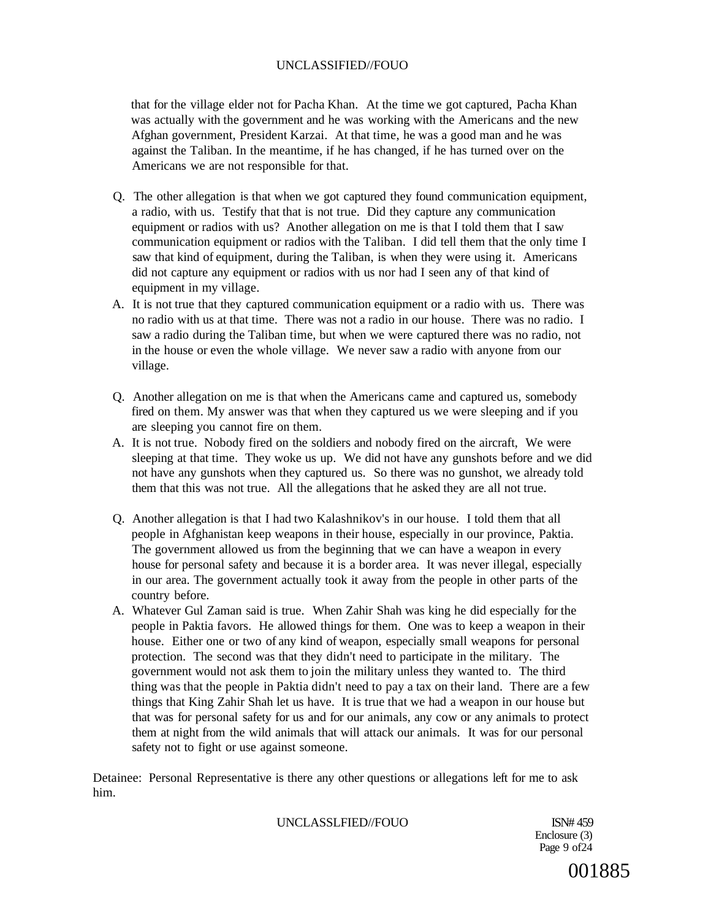that for the village elder not for Pacha Khan. At the time we got captured, Pacha Khan was actually with the government and he was working with the Americans and the new Afghan government, President Karzai. At that time, he was a good man and he was against the Taliban. In the meantime, if he has changed, if he has turned over on the Americans we are not responsible for that.

- Q. The other allegation is that when we got captured they found communication equipment, a radio, with us. Testify that that is not true. Did they capture any communication equipment or radios with us? Another allegation on me is that I told them that I saw communication equipment or radios with the Taliban. I did tell them that the only time I saw that kind of equipment, during the Taliban, is when they were using it. Americans did not capture any equipment or radios with us nor had I seen any of that kind of equipment in my village.
- A. It is not true that they captured communication equipment or a radio with us. There was no radio with us at that time. There was not a radio in our house. There was no radio. I saw a radio during the Taliban time, but when we were captured there was no radio, not in the house or even the whole village. We never saw a radio with anyone from our village.
- Q. Another allegation on me is that when the Americans came and captured us, somebody fired on them. My answer was that when they captured us we were sleeping and if you are sleeping you cannot fire on them.
- A. It is not true. Nobody fired on the soldiers and nobody fired on the aircraft, We were sleeping at that time. They woke us up. We did not have any gunshots before and we did not have any gunshots when they captured us. So there was no gunshot, we already told them that this was not true. All the allegations that he asked they are all not true.
- Q. Another allegation is that I had two Kalashnikov's in our house. I told them that all people in Afghanistan keep weapons in their house, especially in our province, Paktia. The government allowed us from the beginning that we can have a weapon in every house for personal safety and because it is a border area. It was never illegal, especially in our area. The government actually took it away from the people in other parts of the country before.
- A. Whatever Gul Zaman said is true. When Zahir Shah was king he did especially for the people in Paktia favors. He allowed things for them. One was to keep a weapon in their house. Either one or two of any kind of weapon, especially small weapons for personal protection. The second was that they didn't need to participate in the military. The government would not ask them to join the military unless they wanted to. The third thing was that the people in Paktia didn't need to pay a tax on their land. There are a few things that King Zahir Shah let us have. It is true that we had a weapon in our house but that was for personal safety for us and for our animals, any cow or any animals to protect them at night from the wild animals that will attack our animals. It was for our personal safety not to fight or use against someone.

Detainee: Personal Representative is there any other questions or allegations left for me to ask him.

UNCLASSLFIED//FOUO ISN# 459

Enclosure (3) Page 9 of 24

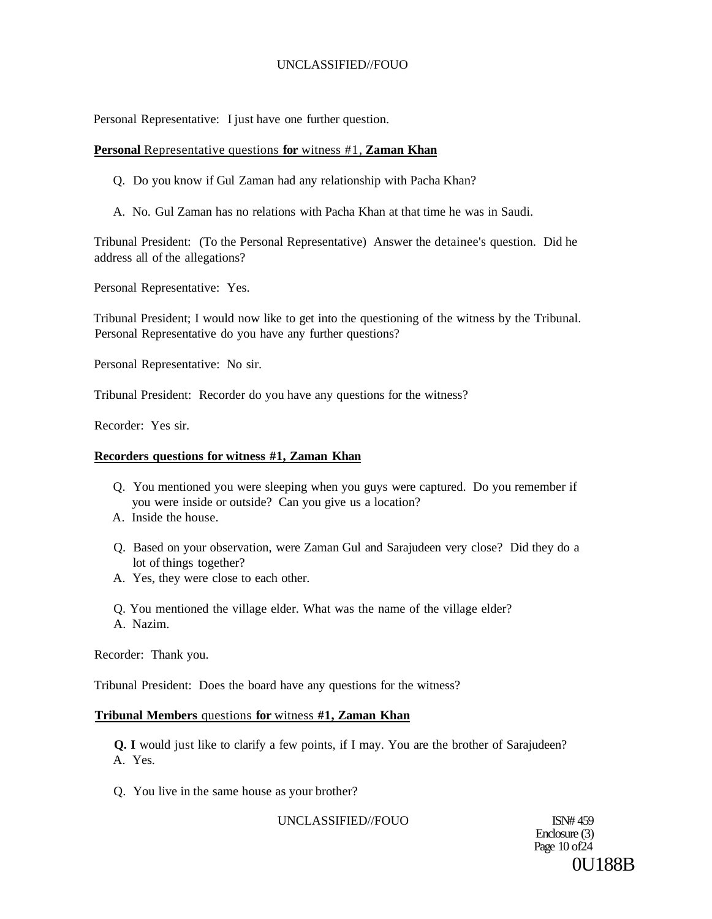Personal Representative: I just have one further question.

## **Personal** Representative questions **for** witness #1, **Zaman Khan**

Q. Do you know if Gul Zaman had any relationship with Pacha Khan?

A. No. Gul Zaman has no relations with Pacha Khan at that time he was in Saudi.

Tribunal President: (To the Personal Representative) Answer the detainee's question. Did he address all of the allegations?

Personal Representative: Yes.

Tribunal President; I would now like to get into the questioning of the witness by the Tribunal. Personal Representative do you have any further questions?

Personal Representative: No sir.

Tribunal President: Recorder do you have any questions for the witness?

Recorder: Yes sir.

## **Recorders questions for witness #1, Zaman Khan**

- Q. You mentioned you were sleeping when you guys were captured. Do you remember if you were inside or outside? Can you give us a location?
- A. Inside the house.
- Q. Based on your observation, were Zaman Gul and Sarajudeen very close? Did they do a lot of things together?
- A. Yes, they were close to each other.
- Q. You mentioned the village elder. What was the name of the village elder? A. Nazim.

Recorder: Thank you.

Tribunal President: Does the board have any questions for the witness?

#### **Tribunal Members** questions **for** witness **#1, Zaman Khan**

**Q. I** would just like to clarify a few points, if I may. You are the brother of Sarajudeen? A. Yes.

Q. You live in the same house as your brother?

UNCLASSIFIED//FOUO ISN# 459

Enclosure (3) Page 10 of24 0U188B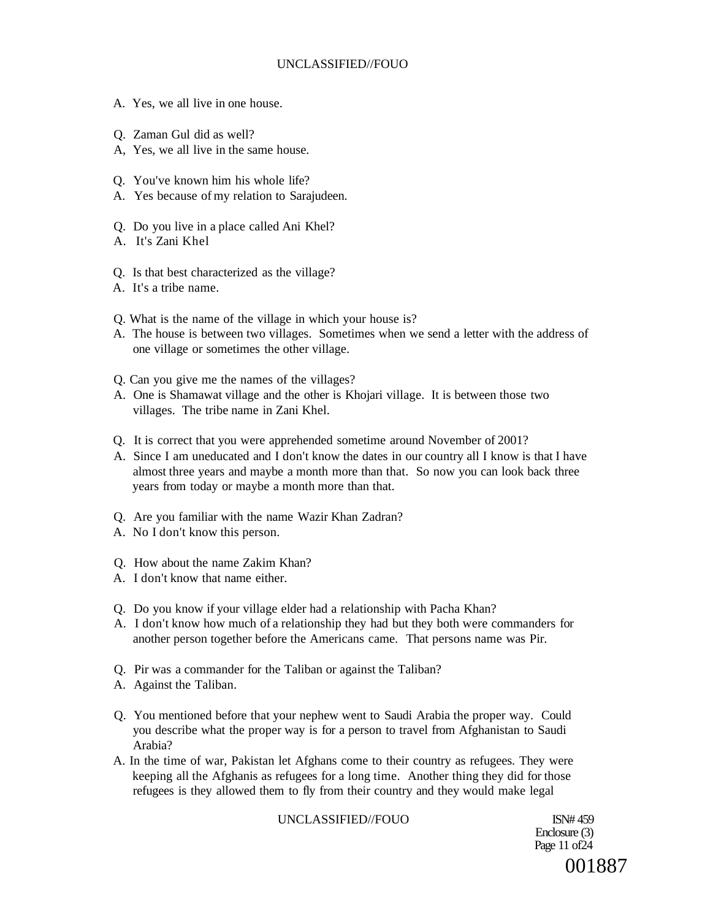- A. Yes, we all live in one house.
- Q. Zaman Gul did as well?
- A, Yes, we all live in the same house.
- Q. You've known him his whole life?
- A. Yes because of my relation to Sarajudeen.
- Q. Do you live in a place called Ani Khel?
- A. It's Zani Khel
- Q. Is that best characterized as the village?
- A. It's a tribe name.
- Q. What is the name of the village in which your house is?
- A. The house is between two villages. Sometimes when we send a letter with the address of one village or sometimes the other village.
- Q. Can you give me the names of the villages?
- A. One is Shamawat village and the other is Khojari village. It is between those two villages. The tribe name in Zani Khel.
- Q. It is correct that you were apprehended sometime around November of 2001?
- A. Since I am uneducated and I don't know the dates in our country all I know is that I have almost three years and maybe a month more than that. So now you can look back three years from today or maybe a month more than that.
- Q. Are you familiar with the name Wazir Khan Zadran?
- A. No I don't know this person.
- Q. How about the name Zakim Khan?
- A. I don't know that name either.
- Q. Do you know if your village elder had a relationship with Pacha Khan?
- A. I don't know how much of a relationship they had but they both were commanders for another person together before the Americans came. That persons name was Pir.
- Q. Pir was a commander for the Taliban or against the Taliban?
- A. Against the Taliban.
- Q. You mentioned before that your nephew went to Saudi Arabia the proper way. Could you describe what the proper way is for a person to travel from Afghanistan to Saudi Arabia?
- A. In the time of war, Pakistan let Afghans come to their country as refugees. They were keeping all the Afghanis as refugees for a long time. Another thing they did for those refugees is they allowed them to fly from their country and they would make legal

#### UNCLASSIFIED//FOUO ISN# 459

Enclosure (3) Page 11 of 24 001887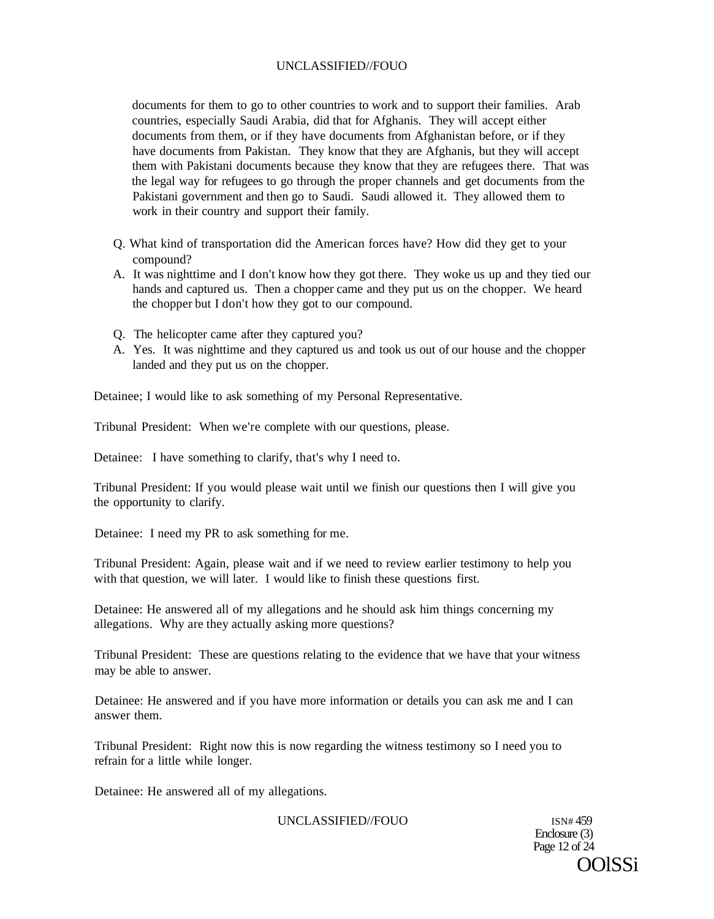documents for them to go to other countries to work and to support their families. Arab countries, especially Saudi Arabia, did that for Afghanis. They will accept either documents from them, or if they have documents from Afghanistan before, or if they have documents from Pakistan. They know that they are Afghanis, but they will accept them with Pakistani documents because they know that they are refugees there. That was the legal way for refugees to go through the proper channels and get documents from the Pakistani government and then go to Saudi. Saudi allowed it. They allowed them to work in their country and support their family.

- Q. What kind of transportation did the American forces have? How did they get to your compound?
- A. It was nighttime and I don't know how they got there. They woke us up and they tied our hands and captured us. Then a chopper came and they put us on the chopper. We heard the chopper but I don't how they got to our compound.
- Q. The helicopter came after they captured you?
- A. Yes. It was nighttime and they captured us and took us out of our house and the chopper landed and they put us on the chopper.

Detainee; I would like to ask something of my Personal Representative.

Tribunal President: When we're complete with our questions, please.

Detainee: I have something to clarify, that's why I need to.

Tribunal President: If you would please wait until we finish our questions then I will give you the opportunity to clarify.

Detainee: I need my PR to ask something for me.

Tribunal President: Again, please wait and if we need to review earlier testimony to help you with that question, we will later. I would like to finish these questions first.

Detainee: He answered all of my allegations and he should ask him things concerning my allegations. Why are they actually asking more questions?

Tribunal President: These are questions relating to the evidence that we have that your witness may be able to answer.

Detainee: He answered and if you have more information or details you can ask me and I can answer them.

Tribunal President: Right now this is now regarding the witness testimony so I need you to refrain for a little while longer.

Detainee: He answered all of my allegations.

UNCLASSIFIED//FOUO ISN# 459

Enclosure (3) Page 12 of 24 OOlSSi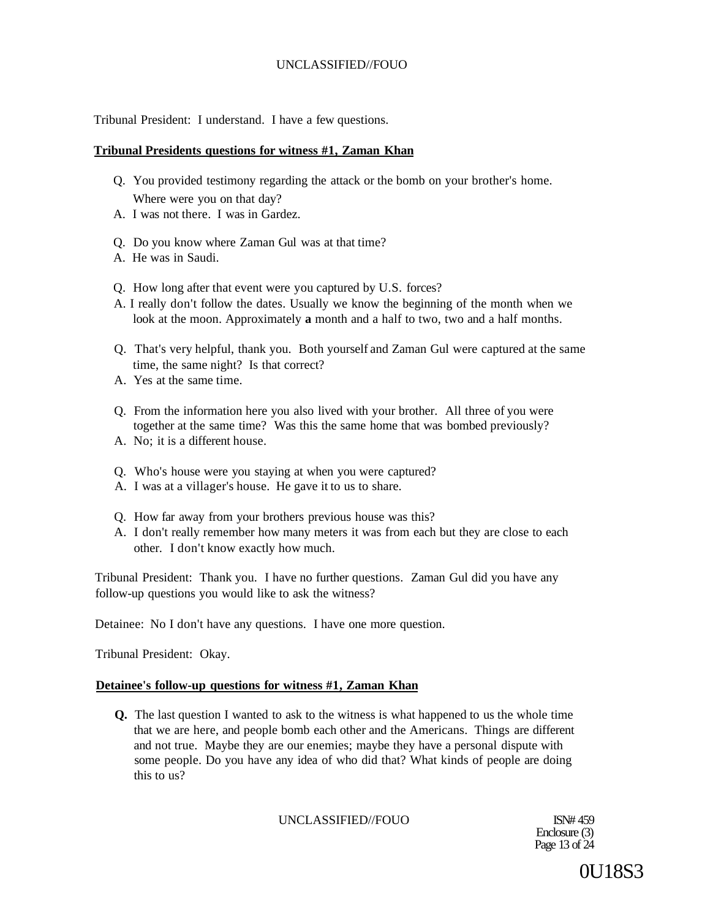Tribunal President: I understand. I have a few questions.

## **Tribunal Presidents questions for witness #1, Zaman Khan**

- Q. You provided testimony regarding the attack or the bomb on your brother's home. Where were you on that day?
- A. I was not there. I was in Gardez.
- Q. Do you know where Zaman Gul was at that time?
- A. He was in Saudi.
- Q. How long after that event were you captured by U.S. forces?
- A. I really don't follow the dates. Usually we know the beginning of the month when we look at the moon. Approximately **a** month and a half to two, two and a half months.
- Q. That's very helpful, thank you. Both yourself and Zaman Gul were captured at the same time, the same night? Is that correct?
- A. Yes at the same time.
- Q. From the information here you also lived with your brother. All three of you were together at the same time? Was this the same home that was bombed previously?
- A. No; it is a different house.
- Q. Who's house were you staying at when you were captured?
- A. I was at a villager's house. He gave it to us to share.
- Q. How far away from your brothers previous house was this?
- A. I don't really remember how many meters it was from each but they are close to each other. I don't know exactly how much.

Tribunal President: Thank you. I have no further questions. Zaman Gul did you have any follow-up questions you would like to ask the witness?

Detainee: No I don't have any questions. I have one more question.

Tribunal President: Okay.

#### **Detainee's follow-up questions for witness #1, Zaman Khan**

**Q.** The last question I wanted to ask to the witness is what happened to us the whole time that we are here, and people bomb each other and the Americans. Things are different and not true. Maybe they are our enemies; maybe they have a personal dispute with some people. Do you have any idea of who did that? What kinds of people are doing this to us?

UNCLASSIFIED//FOUO ISN# 459

Enclosure (3) Page 13 of 24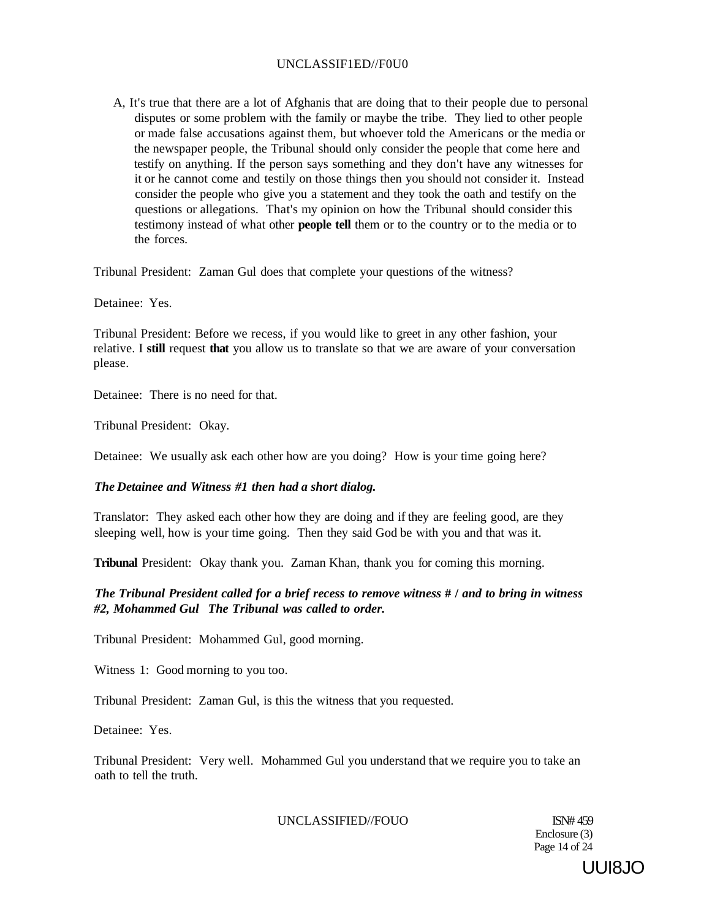## UNCLASSIF1ED//F0U0

A, It's true that there are a lot of Afghanis that are doing that to their people due to personal disputes or some problem with the family or maybe the tribe. They lied to other people or made false accusations against them, but whoever told the Americans or the media or the newspaper people, the Tribunal should only consider the people that come here and testify on anything. If the person says something and they don't have any witnesses for it or he cannot come and testily on those things then you should not consider it. Instead consider the people who give you a statement and they took the oath and testify on the questions or allegations. That's my opinion on how the Tribunal should consider this testimony instead of what other **people tell** them or to the country or to the media or to the forces.

Tribunal President: Zaman Gul does that complete your questions of the witness?

Detainee: Yes.

Tribunal President: Before we recess, if you would like to greet in any other fashion, your relative. I **still** request **that** you allow us to translate so that we are aware of your conversation please.

Detainee: There is no need for that.

Tribunal President: Okay.

Detainee: We usually ask each other how are you doing? How is your time going here?

#### *The Detainee and Witness #1 then had a short dialog.*

Translator: They asked each other how they are doing and if they are feeling good, are they sleeping well, how is your time going. Then they said God be with you and that was it.

**Tribunal** President: Okay thank you. Zaman Khan, thank you for coming this morning.

# *The Tribunal President called for a brief recess to remove witness* **# /** *and to bring in witness #2, Mohammed Gul The Tribunal was called to order.*

Tribunal President: Mohammed Gul, good morning.

Witness 1: Good morning to you too.

Tribunal President: Zaman Gul, is this the witness that you requested.

Detainee: Yes.

Tribunal President: Very well. Mohammed Gul you understand that we require you to take an oath to tell the truth.

## UNCLASSIFIED//FOUO ISN# 459

Enclosure (3) Page 14 of 24

UUI8JO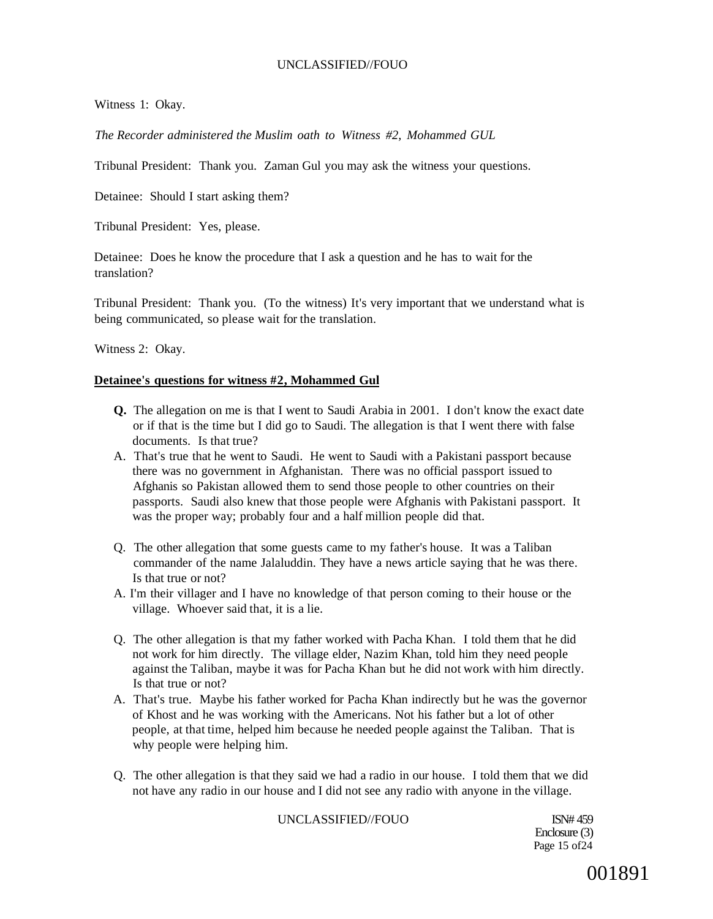Witness 1: Okay.

*The Recorder administered the Muslim oath to Witness #2, Mohammed GUL* 

Tribunal President: Thank you. Zaman Gul you may ask the witness your questions.

Detainee: Should I start asking them?

Tribunal President: Yes, please.

Detainee: Does he know the procedure that I ask a question and he has to wait for the translation?

Tribunal President: Thank you. (To the witness) It's very important that we understand what is being communicated, so please wait for the translation.

Witness 2: Okay.

#### **Detainee's questions for witness #2, Mohammed Gul**

- **Q.** The allegation on me is that I went to Saudi Arabia in 2001. I don't know the exact date or if that is the time but I did go to Saudi. The allegation is that I went there with false documents. Is that true?
- A. That's true that he went to Saudi. He went to Saudi with a Pakistani passport because there was no government in Afghanistan. There was no official passport issued to Afghanis so Pakistan allowed them to send those people to other countries on their passports. Saudi also knew that those people were Afghanis with Pakistani passport. It was the proper way; probably four and a half million people did that.
- Q. The other allegation that some guests came to my father's house. It was a Taliban commander of the name Jalaluddin. They have a news article saying that he was there. Is that true or not?
- A. I'm their villager and I have no knowledge of that person coming to their house or the village. Whoever said that, it is a lie.
- Q. The other allegation is that my father worked with Pacha Khan. I told them that he did not work for him directly. The village elder, Nazim Khan, told him they need people against the Taliban, maybe it was for Pacha Khan but he did not work with him directly. Is that true or not?
- A. That's true. Maybe his father worked for Pacha Khan indirectly but he was the governor of Khost and he was working with the Americans. Not his father but a lot of other people, at that time, helped him because he needed people against the Taliban. That is why people were helping him.
- Q. The other allegation is that they said we had a radio in our house. I told them that we did not have any radio in our house and I did not see any radio with anyone in the village.

UNCLASSIFIED//FOUO ISN# 459

Enclosure (3) Page 15 of24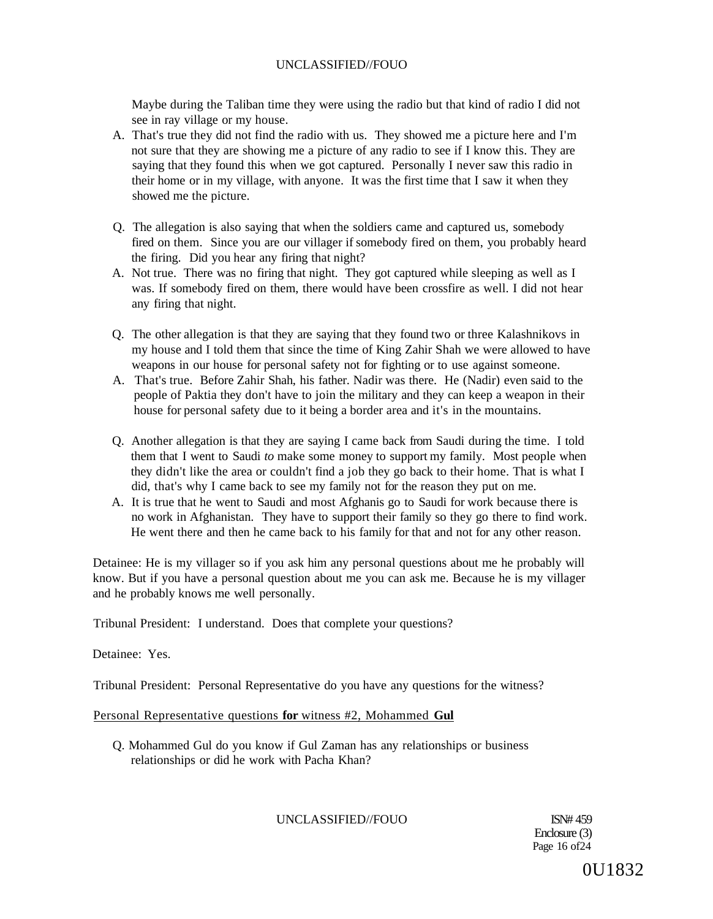Maybe during the Taliban time they were using the radio but that kind of radio I did not see in ray village or my house.

- A. That's true they did not find the radio with us. They showed me a picture here and I'm not sure that they are showing me a picture of any radio to see if I know this. They are saying that they found this when we got captured. Personally I never saw this radio in their home or in my village, with anyone. It was the first time that I saw it when they showed me the picture.
- Q. The allegation is also saying that when the soldiers came and captured us, somebody fired on them. Since you are our villager if somebody fired on them, you probably heard the firing. Did you hear any firing that night?
- A. Not true. There was no firing that night. They got captured while sleeping as well as I was. If somebody fired on them, there would have been crossfire as well. I did not hear any firing that night.
- Q. The other allegation is that they are saying that they found two or three Kalashnikovs in my house and I told them that since the time of King Zahir Shah we were allowed to have weapons in our house for personal safety not for fighting or to use against someone.
- A. That's true. Before Zahir Shah, his father. Nadir was there. He (Nadir) even said to the people of Paktia they don't have to join the military and they can keep a weapon in their house for personal safety due to it being a border area and it's in the mountains.
- Q. Another allegation is that they are saying I came back from Saudi during the time. I told them that I went to Saudi *to* make some money to support my family. Most people when they didn't like the area or couldn't find a job they go back to their home. That is what I did, that's why I came back to see my family not for the reason they put on me.
- A. It is true that he went to Saudi and most Afghanis go to Saudi for work because there is no work in Afghanistan. They have to support their family so they go there to find work. He went there and then he came back to his family for that and not for any other reason.

Detainee: He is my villager so if you ask him any personal questions about me he probably will know. But if you have a personal question about me you can ask me. Because he is my villager and he probably knows me well personally.

Tribunal President: I understand. Does that complete your questions?

Detainee: Yes.

Tribunal President: Personal Representative do you have any questions for the witness?

## Personal Representative questions **for** witness #2, Mohammed **Gul**

Q. Mohammed Gul do you know if Gul Zaman has any relationships or business relationships or did he work with Pacha Khan?

## UNCLASSIFIED//FOUO ISN# 459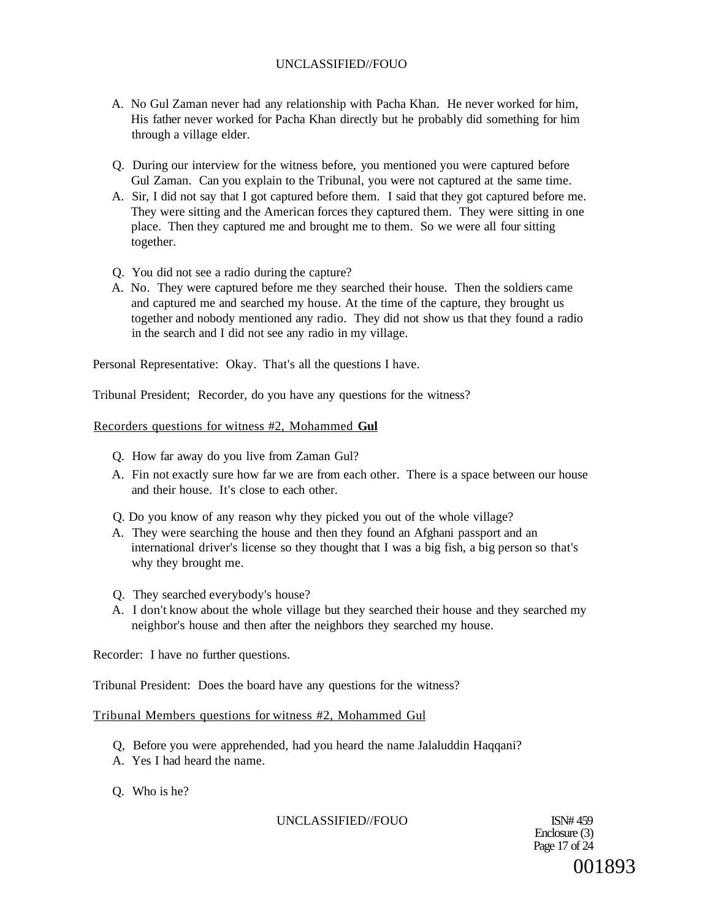- A. No Gul Zaman never had any relationship with Pacha Khan. He never worked for him, His father never worked for Pacha Khan directly but he probably did something for him through a village elder.
- Q. During our interview for the witness before, you mentioned you were captured before Gul Zaman. Can you explain to the Tribunal, you were not captured at the same time.
- A. Sir, I did not say that I got captured before them. I said that they got captured before me. They were sitting and the American forces they captured them. They were sitting in one place. Then they captured me and brought me to them. So we were all four sitting together.
- Q. You did not see a radio during the capture?
- A. No. They were captured before me they searched their house. Then the soldiers came and captured me and searched my house. At the time of the capture, they brought us together and nobody mentioned any radio. They did not show us that they found a radio in the search and I did not see any radio in my village.

Personal Representative: Okay. That's all the questions I have.

Tribunal President; Recorder, do you have any questions for the witness?

## Recorders questions for witness #2, Mohammed **Gul**

- Q. How far away do you live from Zaman Gul?
- A. Fin not exactly sure how far we are from each other. There is a space between our house and their house. It's close to each other.
- Q. Do you know of any reason why they picked you out of the whole village?
- A. They were searching the house and then they found an Afghani passport and an international driver's license so they thought that I was a big fish, a big person so that's why they brought me.
- Q. They searched everybody's house?
- A. I don't know about the whole village but they searched their house and they searched my neighbor's house and then after the neighbors they searched my house.

Recorder: I have no further questions.

Tribunal President: Does the board have any questions for the witness?

#### Tribunal Members questions for witness #2, Mohammed Gul

- Q, Before you were apprehended, had you heard the name Jalaluddin Haqqani?
- A. Yes I had heard the name.
- Q. Who is he?

## UNCLASSIFIED//FOUO ISN# 459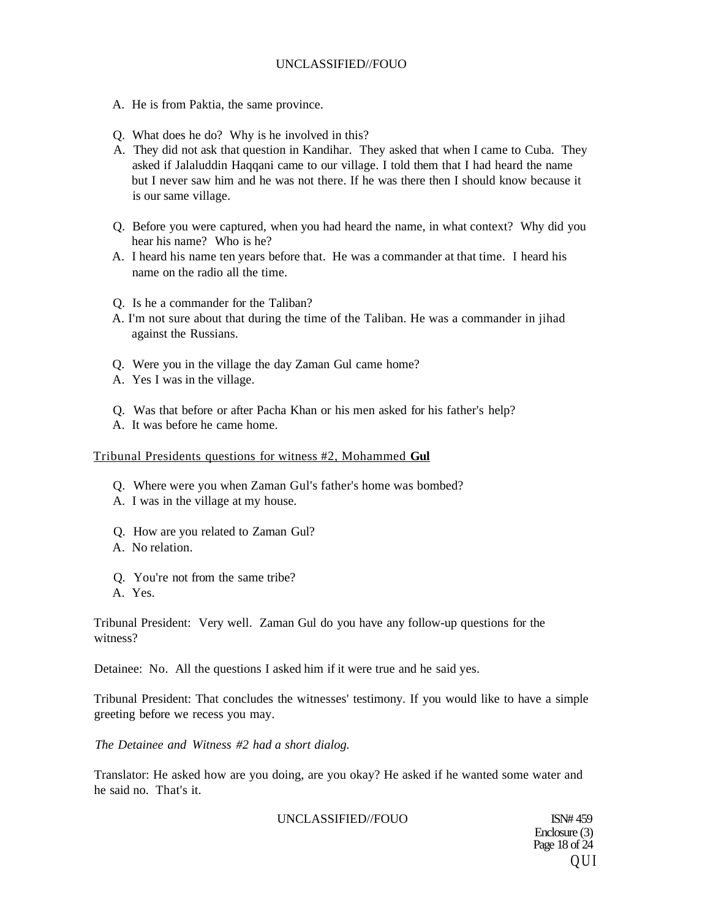- A. He is from Paktia, the same province.
- Q. What does he do? Why is he involved in this?
- A. They did not ask that question in Kandihar. They asked that when I came to Cuba. They asked if Jalaluddin Haqqani came to our village. I told them that I had heard the name but I never saw him and he was not there. If he was there then I should know because it is our same village.
- Q. Before you were captured, when you had heard the name, in what context? Why did you hear his name? Who is he?
- A. I heard his name ten years before that. He was a commander at that time. I heard his name on the radio all the time.
- Q. Is he a commander for the Taliban?
- A. I'm not sure about that during the time of the Taliban. He was a commander in jihad against the Russians.
- Q. Were you in the village the day Zaman Gul came home?
- A. Yes I was in the village.
- Q. Was that before or after Pacha Khan or his men asked for his father's help?
- A. It was before he came home.

#### Tribunal Presidents questions for witness #2, Mohammed **Gul**

- Q. Where were you when Zaman Gul's father's home was bombed?
- A. I was in the village at my house.
- Q. How are you related to Zaman Gul?
- A. No relation.
- Q. You're not from the same tribe?
- A. Yes.

Tribunal President: Very well. Zaman Gul do you have any follow-up questions for the witness?

Detainee: No. All the questions I asked him if it were true and he said yes.

Tribunal President: That concludes the witnesses' testimony. If you would like to have a simple greeting before we recess you may.

*The Detainee and Witness #2 had a short dialog.* 

Translator: He asked how are you doing, are you okay? He asked if he wanted some water and he said no. That's it.

UNCLASSIFIED//FOUO ISN# 459

Enclosure (3) Page 18 of 24 Q U I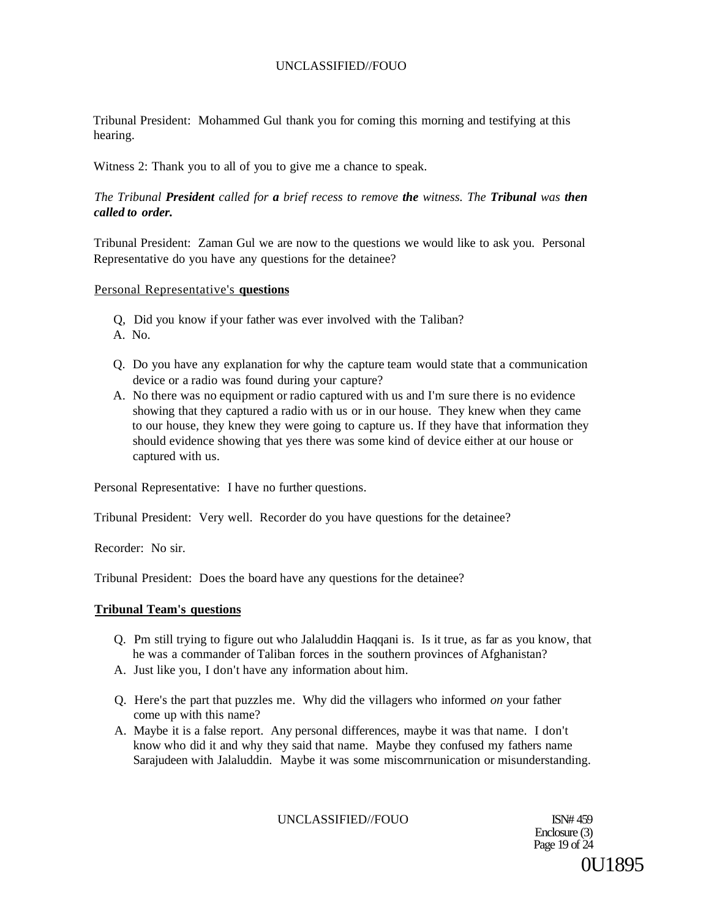Tribunal President: Mohammed Gul thank you for coming this morning and testifying at this hearing.

Witness 2: Thank you to all of you to give me a chance to speak.

# *The Tribunal President called for a brief recess to remove the witness. The Tribunal was then called to order.*

Tribunal President: Zaman Gul we are now to the questions we would like to ask you. Personal Representative do you have any questions for the detainee?

## Personal Representative's **questions**

- Q, Did you know if your father was ever involved with the Taliban?
- A. No.
- Q. Do you have any explanation for why the capture team would state that a communication device or a radio was found during your capture?
- A. No there was no equipment or radio captured with us and I'm sure there is no evidence showing that they captured a radio with us or in our house. They knew when they came to our house, they knew they were going to capture us. If they have that information they should evidence showing that yes there was some kind of device either at our house or captured with us.

Personal Representative: I have no further questions.

Tribunal President: Very well. Recorder do you have questions for the detainee?

Recorder: No sir.

Tribunal President: Does the board have any questions for the detainee?

## **Tribunal Team's questions**

- Q. Pm still trying to figure out who Jalaluddin Haqqani is. Is it true, as far as you know, that he was a commander of Taliban forces in the southern provinces of Afghanistan?
- A. Just like you, I don't have any information about him.
- Q. Here's the part that puzzles me. Why did the villagers who informed *on* your father come up with this name?
- A. Maybe it is a false report. Any personal differences, maybe it was that name. I don't know who did it and why they said that name. Maybe they confused my fathers name Sarajudeen with Jalaluddin. Maybe it was some miscomrnunication or misunderstanding.

UNCLASSIFIED//FOUO ISN# 459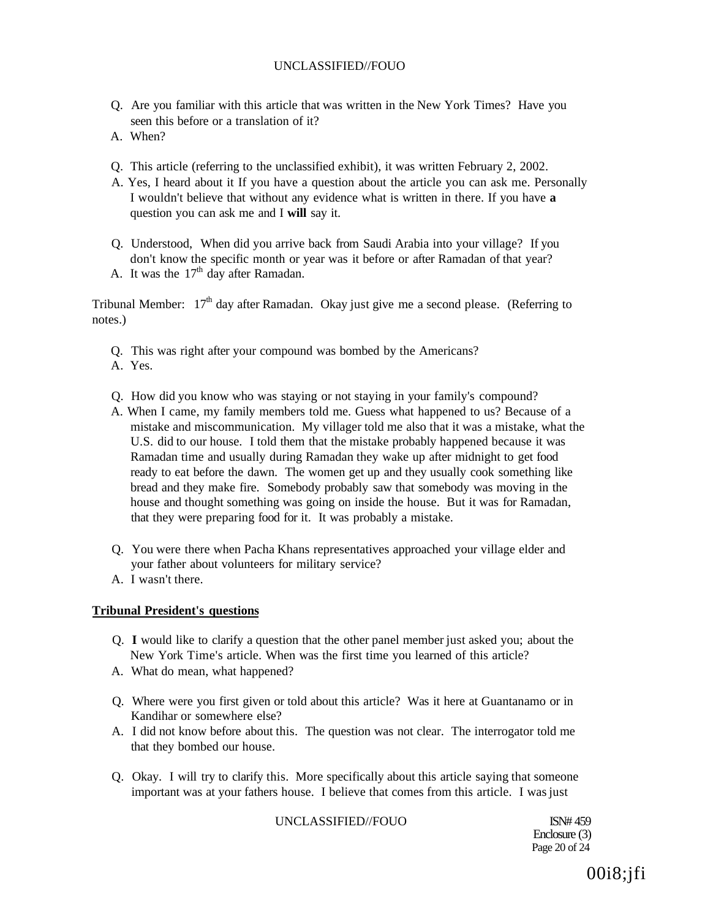- Q. Are you familiar with this article that was written in the New York Times? Have you seen this before or a translation of it?
- A. When?
- Q. This article (referring to the unclassified exhibit), it was written February 2, 2002.
- A. Yes, I heard about it If you have a question about the article you can ask me. Personally I wouldn't believe that without any evidence what is written in there. If you have **a**  question you can ask me and I **will** say it.
- Q. Understood, When did you arrive back from Saudi Arabia into your village? If you don't know the specific month or year was it before or after Ramadan of that year?
- A. It was the  $17<sup>th</sup>$  day after Ramadan.

Tribunal Member:  $17<sup>th</sup>$  day after Ramadan. Okay just give me a second please. (Referring to notes.)

- Q. This was right after your compound was bombed by the Americans?
- A. Yes.
- Q. How did you know who was staying or not staying in your family's compound?
- A. When I came, my family members told me. Guess what happened to us? Because of a mistake and miscommunication. My villager told me also that it was a mistake, what the U.S. did to our house. I told them that the mistake probably happened because it was Ramadan time and usually during Ramadan they wake up after midnight to get food ready to eat before the dawn. The women get up and they usually cook something like bread and they make fire. Somebody probably saw that somebody was moving in the house and thought something was going on inside the house. But it was for Ramadan, that they were preparing food for it. It was probably a mistake.
- Q. You were there when Pacha Khans representatives approached your village elder and your father about volunteers for military service?
- A. I wasn't there.

#### **Tribunal President's questions**

- Q. **I** would like to clarify a question that the other panel member just asked you; about the New York Time's article. When was the first time you learned of this article?
- A. What do mean, what happened?
- Q. Where were you first given or told about this article? Was it here at Guantanamo or in Kandihar or somewhere else?
- A. I did not know before about this. The question was not clear. The interrogator told me that they bombed our house.
- Q. Okay. I will try to clarify this. More specifically about this article saying that someone important was at your fathers house. I believe that comes from this article. I was just

#### UNCLASSIFIED//FOUO ISN# 459

Enclosure (3) Page 20 of 24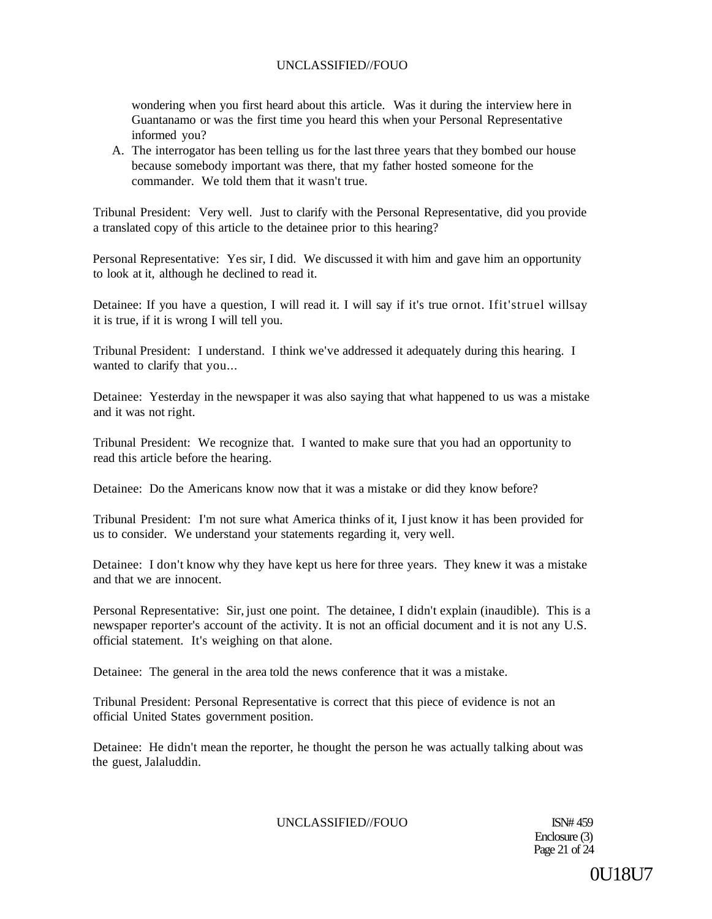wondering when you first heard about this article. Was it during the interview here in Guantanamo or was the first time you heard this when your Personal Representative informed you?

A. The interrogator has been telling us for the last three years that they bombed our house because somebody important was there, that my father hosted someone for the commander. We told them that it wasn't true.

Tribunal President: Very well. Just to clarify with the Personal Representative, did you provide a translated copy of this article to the detainee prior to this hearing?

Personal Representative: Yes sir, I did. We discussed it with him and gave him an opportunity to look at it, although he declined to read it.

Detainee: If you have a question, I will read it. I will say if it's true ornot. Ifit'struel willsay it is true, if it is wrong I will tell you.

Tribunal President: I understand. I think we've addressed it adequately during this hearing. I wanted to clarify that you...

Detainee: Yesterday in the newspaper it was also saying that what happened to us was a mistake and it was not right.

Tribunal President: We recognize that. I wanted to make sure that you had an opportunity to read this article before the hearing.

Detainee: Do the Americans know now that it was a mistake or did they know before?

Tribunal President: I'm not sure what America thinks of it, I just know it has been provided for us to consider. We understand your statements regarding it, very well.

Detainee: I don't know why they have kept us here for three years. They knew it was a mistake and that we are innocent.

Personal Representative: Sir, just one point. The detainee, I didn't explain (inaudible). This is a newspaper reporter's account of the activity. It is not an official document and it is not any U.S. official statement. It's weighing on that alone.

Detainee: The general in the area told the news conference that it was a mistake.

Tribunal President: Personal Representative is correct that this piece of evidence is not an official United States government position.

Detainee: He didn't mean the reporter, he thought the person he was actually talking about was the guest, Jalaluddin.

## UNCLASSIFIED//FOUO ISN# 459

Enclosure (3) Page 21 of 24

0U18U7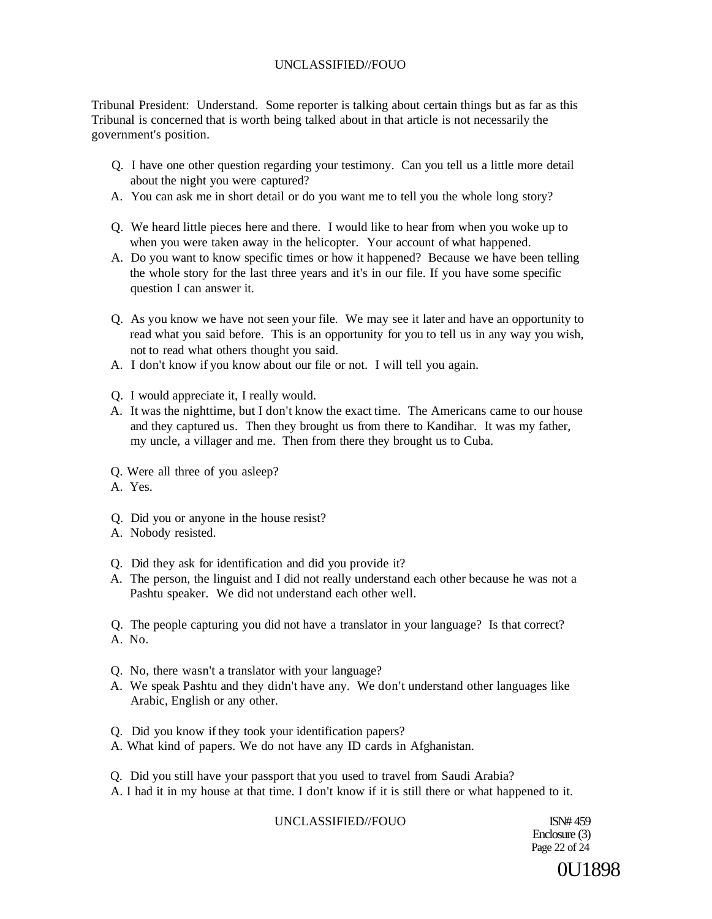Tribunal President: Understand. Some reporter is talking about certain things but as far as this Tribunal is concerned that is worth being talked about in that article is not necessarily the government's position.

- Q. I have one other question regarding your testimony. Can you tell us a little more detail about the night you were captured?
- A. You can ask me in short detail or do you want me to tell you the whole long story?
- Q. We heard little pieces here and there. I would like to hear from when you woke up to when you were taken away in the helicopter. Your account of what happened.
- A. Do you want to know specific times or how it happened? Because we have been telling the whole story for the last three years and it's in our file. If you have some specific question I can answer it.
- Q. As you know we have not seen your file. We may see it later and have an opportunity to read what you said before. This is an opportunity for you to tell us in any way you wish, not to read what others thought you said.
- A. I don't know if you know about our file or not. I will tell you again.
- Q. I would appreciate it, I really would.
- A. It was the nighttime, but I don't know the exact time. The Americans came to our house and they captured us. Then they brought us from there to Kandihar. It was my father, my uncle, a villager and me. Then from there they brought us to Cuba.
- Q. Were all three of you asleep?
- A. Yes.
- Q. Did you or anyone in the house resist?
- A. Nobody resisted.
- Q. Did they ask for identification and did you provide it?
- A. The person, the linguist and I did not really understand each other because he was not a Pashtu speaker. We did not understand each other well.

Q. The people capturing you did not have a translator in your language? Is that correct? A. No.

- Q. No, there wasn't a translator with your language?
- A. We speak Pashtu and they didn't have any. We don't understand other languages like Arabic, English or any other.
- Q. Did you know if they took your identification papers?
- A. What kind of papers. We do not have any ID cards in Afghanistan.
- Q. Did you still have your passport that you used to travel from Saudi Arabia?
- A. I had it in my house at that time. I don't know if it is still there or what happened to it.

# UNCLASSIFIED//FOUO ISN# 459

Enclosure (3) Page 22 of 24

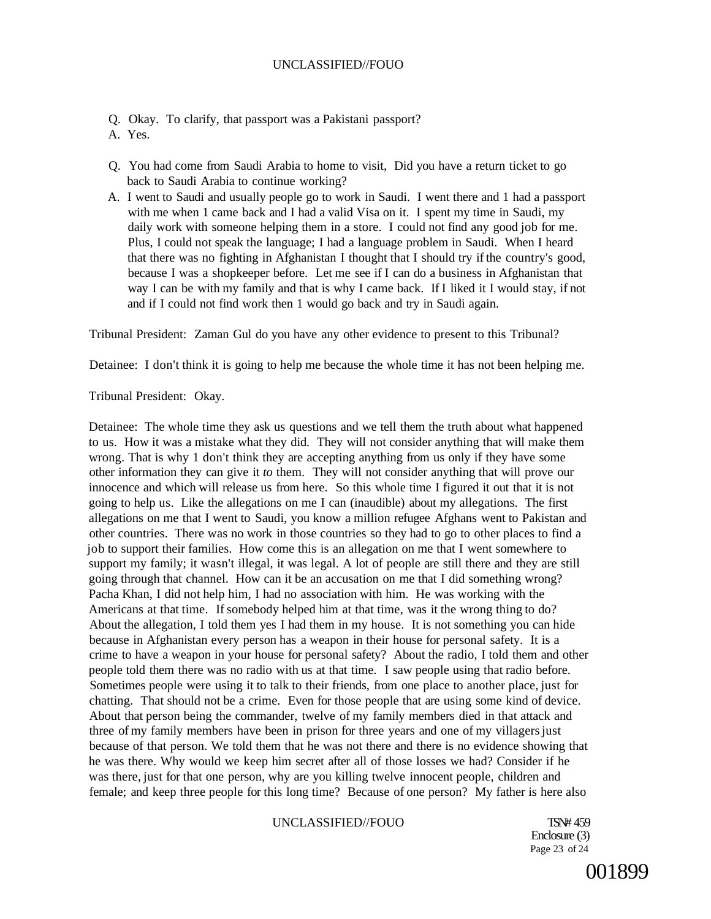- Q. Okay. To clarify, that passport was a Pakistani passport?
- A. Yes.
- Q. You had come from Saudi Arabia to home to visit, Did you have a return ticket to go back to Saudi Arabia to continue working?
- A. I went to Saudi and usually people go to work in Saudi. I went there and 1 had a passport with me when 1 came back and I had a valid Visa on it. I spent my time in Saudi, my daily work with someone helping them in a store. I could not find any good job for me. Plus, I could not speak the language; I had a language problem in Saudi. When I heard that there was no fighting in Afghanistan I thought that I should try if the country's good, because I was a shopkeeper before. Let me see if I can do a business in Afghanistan that way I can be with my family and that is why I came back. If I liked it I would stay, if not and if I could not find work then 1 would go back and try in Saudi again.

Tribunal President: Zaman Gul do you have any other evidence to present to this Tribunal?

Detainee: I don't think it is going to help me because the whole time it has not been helping me.

Tribunal President: Okay.

Detainee: The whole time they ask us questions and we tell them the truth about what happened to us. How it was a mistake what they did. They will not consider anything that will make them wrong. That is why 1 don't think they are accepting anything from us only if they have some other information they can give it *to* them. They will not consider anything that will prove our innocence and which will release us from here. So this whole time I figured it out that it is not going to help us. Like the allegations on me I can (inaudible) about my allegations. The first allegations on me that I went to Saudi, you know a million refugee Afghans went to Pakistan and other countries. There was no work in those countries so they had to go to other places to find a job to support their families. How come this is an allegation on me that I went somewhere to support my family; it wasn't illegal, it was legal. A lot of people are still there and they are still going through that channel. How can it be an accusation on me that I did something wrong? Pacha Khan, I did not help him, I had no association with him. He was working with the Americans at that time. If somebody helped him at that time, was it the wrong thing to do? About the allegation, I told them yes I had them in my house. It is not something you can hide because in Afghanistan every person has a weapon in their house for personal safety. It is a crime to have a weapon in your house for personal safety? About the radio, I told them and other people told them there was no radio with us at that time. I saw people using that radio before. Sometimes people were using it to talk to their friends, from one place to another place, just for chatting. That should not be a crime. Even for those people that are using some kind of device. About that person being the commander, twelve of my family members died in that attack and three of my family members have been in prison for three years and one of my villagers just because of that person. We told them that he was not there and there is no evidence showing that he was there. Why would we keep him secret after all of those losses we had? Consider if he was there, just for that one person, why are you killing twelve innocent people, children and female; and keep three people for this long time? Because of one person? My father is here also

# UNCLASSIFIED//FOUO TSN#459

Enclosure (3) Page 23 of 24